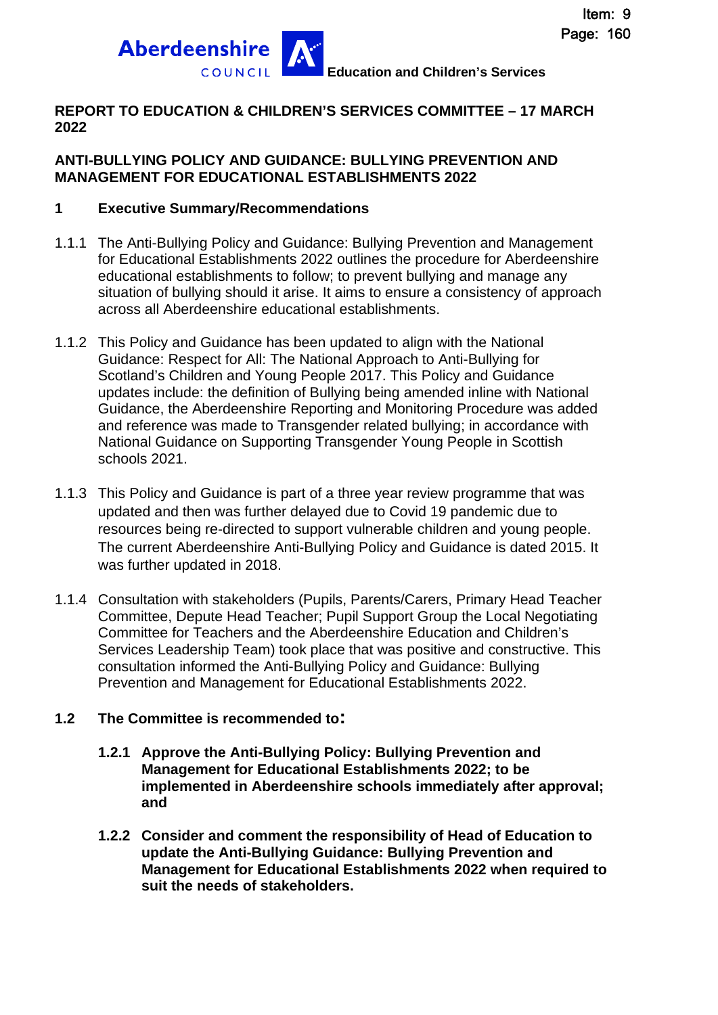

#### **REPORT TO EDUCATION & CHILDREN'S SERVICES COMMITTEE – 17 MARCH 2022**

#### **ANTI-BULLYING POLICY AND GUIDANCE: BULLYING PREVENTION AND MANAGEMENT FOR EDUCATIONAL ESTABLISHMENTS 2022**

#### **1 Executive Summary/Recommendations**

- 1.1.1 The Anti-Bullying Policy and Guidance: Bullying Prevention and Management for Educational Establishments 2022 outlines the procedure for Aberdeenshire educational establishments to follow; to prevent bullying and manage any situation of bullying should it arise. It aims to ensure a consistency of approach across all Aberdeenshire educational establishments.
- 1.1.2 This Policy and Guidance has been updated to align with the National Guidance: Respect for All: The National Approach to Anti-Bullying for Scotland's Children and Young People 2017. This Policy and Guidance updates include: the definition of Bullying being amended inline with National Guidance, the Aberdeenshire Reporting and Monitoring Procedure was added and reference was made to Transgender related bullying; in accordance with National Guidance on Supporting Transgender Young People in Scottish schools 2021.
- 1.1.3 This Policy and Guidance is part of a three year review programme that was updated and then was further delayed due to Covid 19 pandemic due to resources being re-directed to support vulnerable children and young people. The current Aberdeenshire Anti-Bullying Policy and Guidance is dated 2015. It was further updated in 2018.
- 1.1.4 Consultation with stakeholders (Pupils, Parents/Carers, Primary Head Teacher Committee, Depute Head Teacher; Pupil Support Group the Local Negotiating Committee for Teachers and the Aberdeenshire Education and Children's Services Leadership Team) took place that was positive and constructive. This consultation informed the Anti-Bullying Policy and Guidance: Bullying Prevention and Management for Educational Establishments 2022.

### **1.2 The Committee is recommended to:**

- **1.2.1 Approve the Anti-Bullying Policy: Bullying Prevention and Management for Educational Establishments 2022; to be implemented in Aberdeenshire schools immediately after approval; and**
- **1.2.2 Consider and comment the responsibility of Head of Education to update the Anti-Bullying Guidance: Bullying Prevention and Management for Educational Establishments 2022 when required to suit the needs of stakeholders.**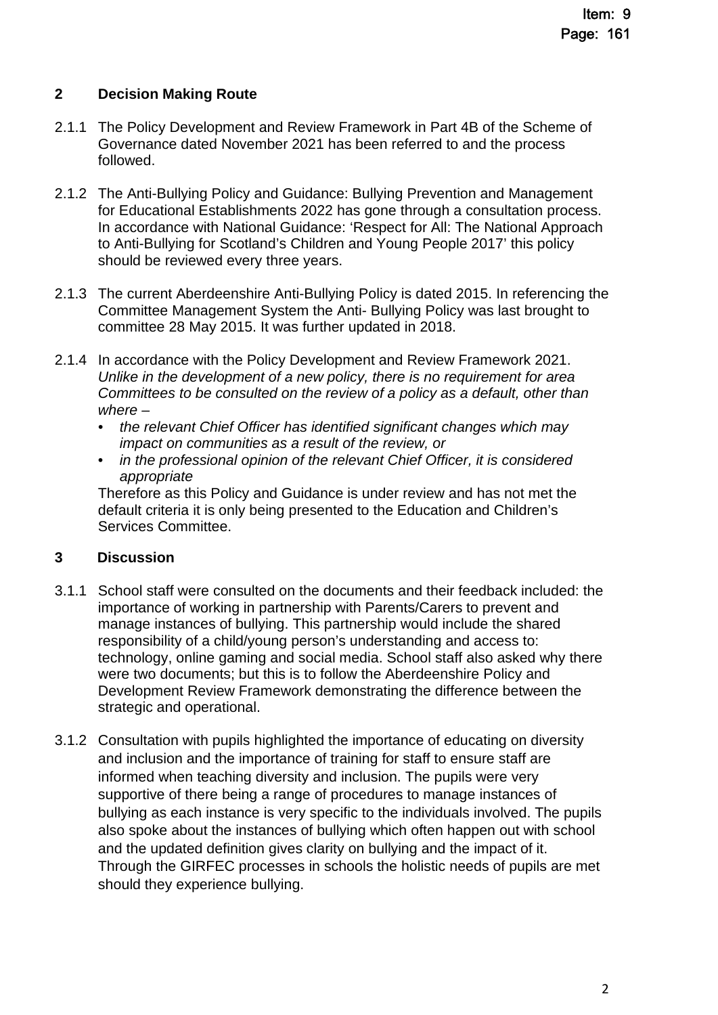### **2 Decision Making Route**

- 2.1.1 The Policy Development and Review Framework in Part 4B of the Scheme of Governance dated November 2021 has been referred to and the process followed.
- 2.1.2 The Anti-Bullying Policy and Guidance: Bullying Prevention and Management for Educational Establishments 2022 has gone through a consultation process. In accordance with National Guidance: 'Respect for All: The National Approach to Anti-Bullying for Scotland's Children and Young People 2017' this policy should be reviewed every three years.
- 2.1.3 The current Aberdeenshire Anti-Bullying Policy is dated 2015. In referencing the Committee Management System the Anti- Bullying Policy was last brought to committee 28 May 2015. It was further updated in 2018.
- 2.1.4 In accordance with the Policy Development and Review Framework 2021. *Unlike in the development of a new policy, there is no requirement for area Committees to be consulted on the review of a policy as a default, other than where –* 
	- *the relevant Chief Officer has identified significant changes which may impact on communities as a result of the review, or*
	- *in the professional opinion of the relevant Chief Officer, it is considered appropriate*

Therefore as this Policy and Guidance is under review and has not met the default criteria it is only being presented to the Education and Children's Services Committee.

### **3 Discussion**

- 3.1.1 School staff were consulted on the documents and their feedback included: the importance of working in partnership with Parents/Carers to prevent and manage instances of bullying. This partnership would include the shared responsibility of a child/young person's understanding and access to: technology, online gaming and social media. School staff also asked why there were two documents; but this is to follow the Aberdeenshire Policy and Development Review Framework demonstrating the difference between the strategic and operational.
- 3.1.2 Consultation with pupils highlighted the importance of educating on diversity and inclusion and the importance of training for staff to ensure staff are informed when teaching diversity and inclusion. The pupils were very supportive of there being a range of procedures to manage instances of bullying as each instance is very specific to the individuals involved. The pupils also spoke about the instances of bullying which often happen out with school and the updated definition gives clarity on bullying and the impact of it. Through the GIRFEC processes in schools the holistic needs of pupils are met should they experience bullying.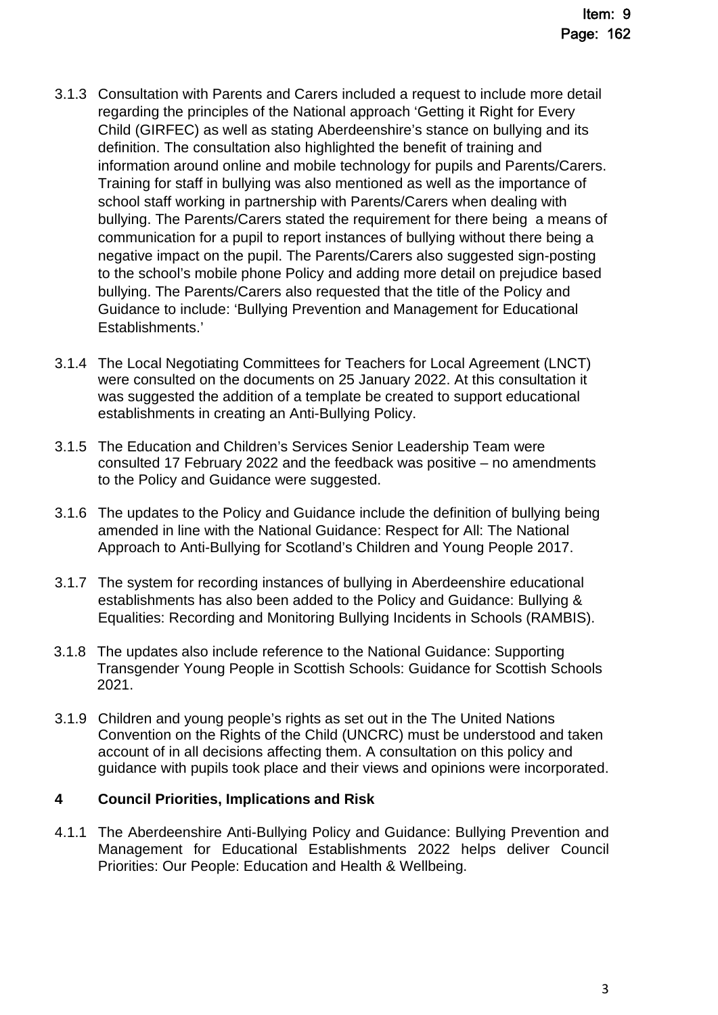- 3.1.3 Consultation with Parents and Carers included a request to include more detail regarding the principles of the National approach 'Getting it Right for Every Child (GIRFEC) as well as stating Aberdeenshire's stance on bullying and its definition. The consultation also highlighted the benefit of training and information around online and mobile technology for pupils and Parents/Carers. Training for staff in bullying was also mentioned as well as the importance of school staff working in partnership with Parents/Carers when dealing with bullying. The Parents/Carers stated the requirement for there being a means of communication for a pupil to report instances of bullying without there being a negative impact on the pupil. The Parents/Carers also suggested sign-posting to the school's mobile phone Policy and adding more detail on prejudice based bullying. The Parents/Carers also requested that the title of the Policy and Guidance to include: 'Bullying Prevention and Management for Educational Establishments.'
- 3.1.4 The Local Negotiating Committees for Teachers for Local Agreement (LNCT) were consulted on the documents on 25 January 2022. At this consultation it was suggested the addition of a template be created to support educational establishments in creating an Anti-Bullying Policy.
- 3.1.5 The Education and Children's Services Senior Leadership Team were consulted 17 February 2022 and the feedback was positive – no amendments to the Policy and Guidance were suggested.
- 3.1.6 The updates to the Policy and Guidance include the definition of bullying being amended in line with the National Guidance: Respect for All: The National Approach to Anti-Bullying for Scotland's Children and Young People 2017.
- 3.1.7 The system for recording instances of bullying in Aberdeenshire educational establishments has also been added to the Policy and Guidance: Bullying & Equalities: Recording and Monitoring Bullying Incidents in Schools (RAMBIS).
- 3.1.8 The updates also include reference to the National Guidance: Supporting Transgender Young People in Scottish Schools: Guidance for Scottish Schools 2021.
- 3.1.9 Children and young people's rights as set out in the The United Nations Convention on the Rights of the Child (UNCRC) must be understood and taken account of in all decisions affecting them. A consultation on this policy and guidance with pupils took place and their views and opinions were incorporated.

### **4 Council Priorities, Implications and Risk**

4.1.1 The Aberdeenshire Anti-Bullying Policy and Guidance: Bullying Prevention and Management for Educational Establishments 2022 helps deliver Council Priorities: Our People: Education and Health & Wellbeing.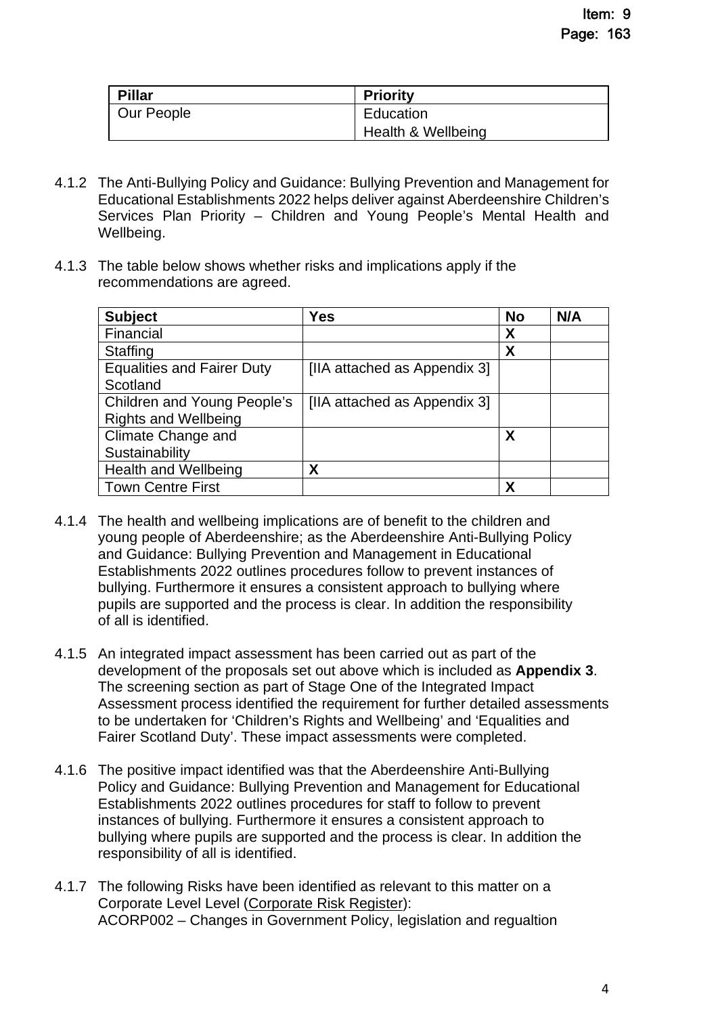| <b>Pillar</b> | <b>Priority</b>    |
|---------------|--------------------|
| Our People    | Education          |
|               | Health & Wellbeing |

- 4.1.2 The Anti-Bullying Policy and Guidance: Bullying Prevention and Management for Educational Establishments 2022 helps deliver against Aberdeenshire Children's Services Plan Priority – Children and Young People's Mental Health and Wellbeing.
- 4.1.3 The table below shows whether risks and implications apply if the recommendations are agreed.

| <b>Subject</b>                    | Yes                          | <b>No</b> | N/A |
|-----------------------------------|------------------------------|-----------|-----|
| Financial                         |                              | X         |     |
| Staffing                          |                              | X         |     |
| <b>Equalities and Fairer Duty</b> | [IIA attached as Appendix 3] |           |     |
| Scotland                          |                              |           |     |
| Children and Young People's       | [IIA attached as Appendix 3] |           |     |
| <b>Rights and Wellbeing</b>       |                              |           |     |
| Climate Change and                |                              | X         |     |
| Sustainability                    |                              |           |     |
| <b>Health and Wellbeing</b>       | Χ                            |           |     |
| <b>Town Centre First</b>          |                              | χ         |     |

- 4.1.4 The health and wellbeing implications are of benefit to the children and young people of Aberdeenshire; as the Aberdeenshire Anti-Bullying Policy and Guidance: Bullying Prevention and Management in Educational Establishments 2022 outlines procedures follow to prevent instances of bullying. Furthermore it ensures a consistent approach to bullying where pupils are supported and the process is clear. In addition the responsibility of all is identified.
- 4.1.5 An integrated impact assessment has been carried out as part of the development of the proposals set out above which is included as **Appendix 3**. The screening section as part of Stage One of the Integrated Impact Assessment process identified the requirement for further detailed assessments to be undertaken for 'Children's Rights and Wellbeing' and 'Equalities and Fairer Scotland Duty'. These impact assessments were completed.
- 4.1.6 The positive impact identified was that the Aberdeenshire Anti-Bullying Policy and Guidance: Bullying Prevention and Management for Educational Establishments 2022 outlines procedures for staff to follow to prevent instances of bullying. Furthermore it ensures a consistent approach to bullying where pupils are supported and the process is clear. In addition the responsibility of all is identified.
- 4.1.7 The following Risks have been identified as relevant to this matter on a Corporate Level Level [\(Corporate Risk Register](https://www.aberdeenshire.gov.uk/media/26308/corporaterisks.pdf)): ACORP002 – Changes in Government Policy, legislation and regualtion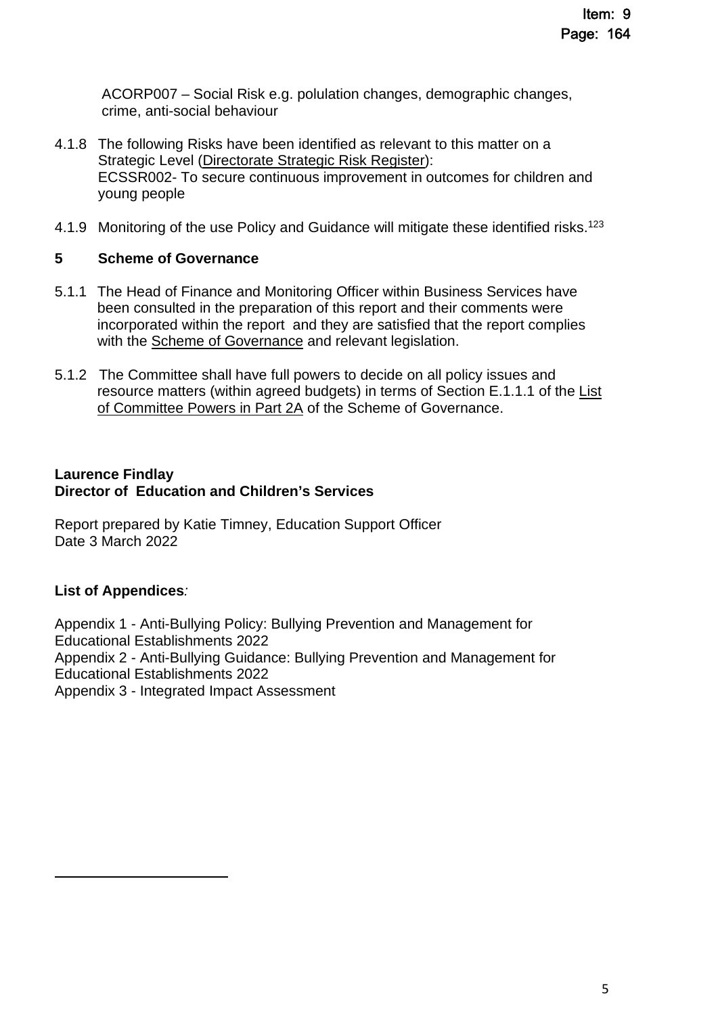ACORP007 – Social Risk e.g. polulation changes, demographic changes, crime, anti-social behaviour

- 4.1.8 The following Risks have been identified as relevant to this matter on a Strategic Level [\(Directorate Strategic Risk Register](https://www.aberdeenshire.gov.uk/media/26330/ecsdirectoraterisksregister.pdf)): ECSSR002- To secure continuous improvement in outcomes for children and young people
- 4.1.9 Monitoring of the use Policy and Guidance will mitigate these identified risks.<sup>123</sup>

### **5 Scheme of Governance**

- 5.1.1 The Head of Finance and Monitoring Officer within Business Services have been consulted in the preparation of this report and their comments were incorporated within the report and they are satisfied that the report complies with the [Scheme of Governance](https://www.aberdeenshire.gov.uk/council-and-democracy/scheme-of-governance/) and relevant legislation.
- 5.1.2 The Committee shall have full powers to decide on all policy issues and [resource matters \(within agreed budgets\) in terms of Section E.1.1.1 of the List](http://publications.aberdeenshire.gov.uk/dataset/c8044f6f-e327-499f-bbc7-94ae9d699559/resource/8d829bb9-95e7-4c83-bc0b-63b76bcba159/download/list-of-committee-powers.pdf)  [of Committee Powers in Part 2A of the Scheme of Governance.](http://publications.aberdeenshire.gov.uk/dataset/c8044f6f-e327-499f-bbc7-94ae9d699559/resource/8d829bb9-95e7-4c83-bc0b-63b76bcba159/download/list-of-committee-powers.pdf)

#### **Laurence Findlay Director of Education and Children's Services**

Report prepared by Katie Timney, Education Support Officer Date 3 March 2022

### **List of Appendices***:*

Appendix 1 - Anti-Bullying Policy: Bullying Prevention and Management for Educational Establishments 2022 Appendix 2 - Anti-Bullying Guidance: Bullying Prevention and Management for Educational Establishments 2022 Appendix 3 - Integrated Impact Assessment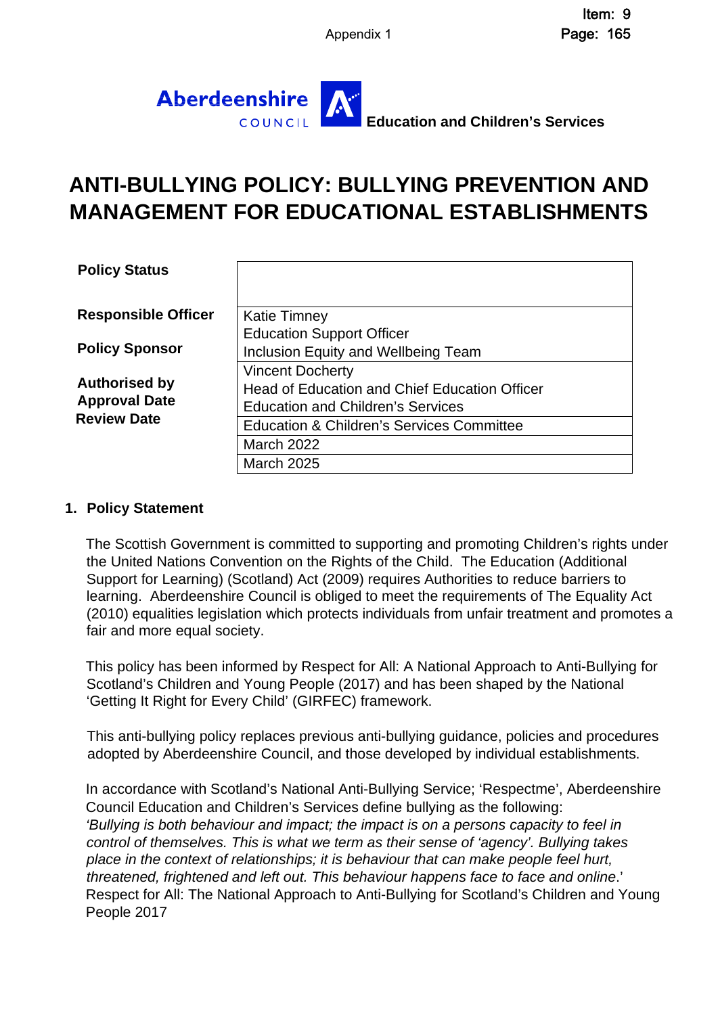

## **ANTI-BULLYING POLICY: BULLYING PREVENTION AND MANAGEMENT FOR EDUCATIONAL ESTABLISHMENTS**

| <b>Policy Status</b>       |                                                      |
|----------------------------|------------------------------------------------------|
| <b>Responsible Officer</b> | <b>Katie Timney</b>                                  |
|                            | <b>Education Support Officer</b>                     |
| <b>Policy Sponsor</b>      | <b>Inclusion Equity and Wellbeing Team</b>           |
|                            | <b>Vincent Docherty</b>                              |
| <b>Authorised by</b>       | Head of Education and Chief Education Officer        |
| <b>Approval Date</b>       | <b>Education and Children's Services</b>             |
| <b>Review Date</b>         | <b>Education &amp; Children's Services Committee</b> |
|                            | March 2022                                           |
|                            | <b>March 2025</b>                                    |

#### **1. Policy Statement**

The Scottish Government is committed to supporting and promoting Children's rights under the United Nations Convention on the Rights of the Child. The Education (Additional Support for Learning) (Scotland) Act (2009) requires Authorities to reduce barriers to learning. Aberdeenshire Council is obliged to meet the requirements of The Equality Act (2010) equalities legislation which protects individuals from unfair treatment and promotes a fair and more equal society.

This policy has been informed by Respect for All: A National Approach to Anti-Bullying for Scotland's Children and Young People (2017) and has been shaped by the National 'Getting It Right for Every Child' (GIRFEC) framework.

This anti-bullying policy replaces previous anti-bullying guidance, policies and procedures adopted by Aberdeenshire Council, and those developed by individual establishments.

In accordance with Scotland's National Anti-Bullying Service; 'Respectme', Aberdeenshire Council Education and Children's Services define bullying as the following: *'Bullying is both behaviour and impact; the impact is on a persons capacity to feel in control of themselves. This is what we term as their sense of 'agency'. Bullying takes place in the context of relationships; it is behaviour that can make people feel hurt, threatened, frightened and left out. This behaviour happens face to face and online*.' Respect for All: The National Approach to Anti-Bullying for Scotland's Children and Young People 2017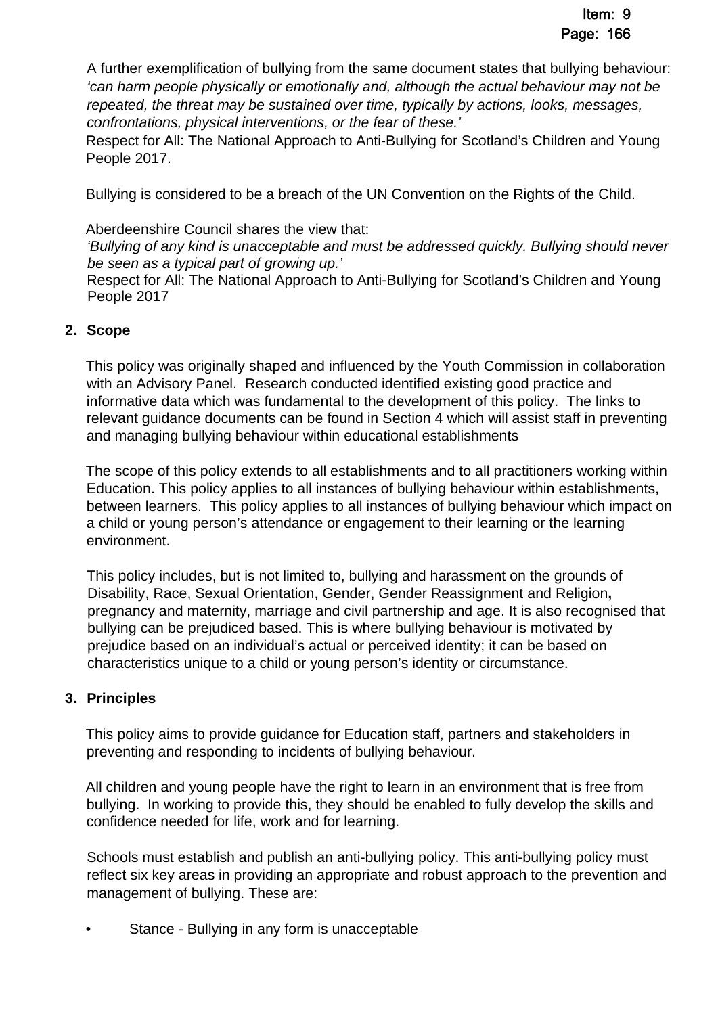A further exemplification of bullying from the same document states that bullying behaviour: *'can harm people physically or emotionally and, although the actual behaviour may not be repeated, the threat may be sustained over time, typically by actions, looks, messages, confrontations, physical interventions, or the fear of these.'* 

Respect for All: The National Approach to Anti-Bullying for Scotland's Children and Young People 2017.

Bullying is considered to be a breach of the UN Convention on the Rights of the Child.

Aberdeenshire Council shares the view that:

*'Bullying of any kind is unacceptable and must be addressed quickly. Bullying should never be seen as a typical part of growing up.'* 

Respect for All: The National Approach to Anti-Bullying for Scotland's Children and Young People 2017

### **2. Scope**

This policy was originally shaped and influenced by the Youth Commission in collaboration with an Advisory Panel. Research conducted identified existing good practice and informative data which was fundamental to the development of this policy. The links to relevant guidance documents can be found in Section 4 which will assist staff in preventing and managing bullying behaviour within educational establishments

The scope of this policy extends to all establishments and to all practitioners working within Education. This policy applies to all instances of bullying behaviour within establishments, between learners. This policy applies to all instances of bullying behaviour which impact on a child or young person's attendance or engagement to their learning or the learning environment.

This policy includes, but is not limited to, bullying and harassment on the grounds of Disability, Race, Sexual Orientation, Gender, Gender Reassignment and Religion**,**  pregnancy and maternity, marriage and civil partnership and age. It is also recognised that bullying can be prejudiced based. This is where bullying behaviour is motivated by prejudice based on an individual's actual or perceived identity; it can be based on characteristics unique to a child or young person's identity or circumstance.

### **3. Principles**

This policy aims to provide guidance for Education staff, partners and stakeholders in preventing and responding to incidents of bullying behaviour.

All children and young people have the right to learn in an environment that is free from bullying. In working to provide this, they should be enabled to fully develop the skills and confidence needed for life, work and for learning.

Schools must establish and publish an anti-bullying policy. This anti-bullying policy must reflect six key areas in providing an appropriate and robust approach to the prevention and management of bullying. These are:

Stance - Bullying in any form is unacceptable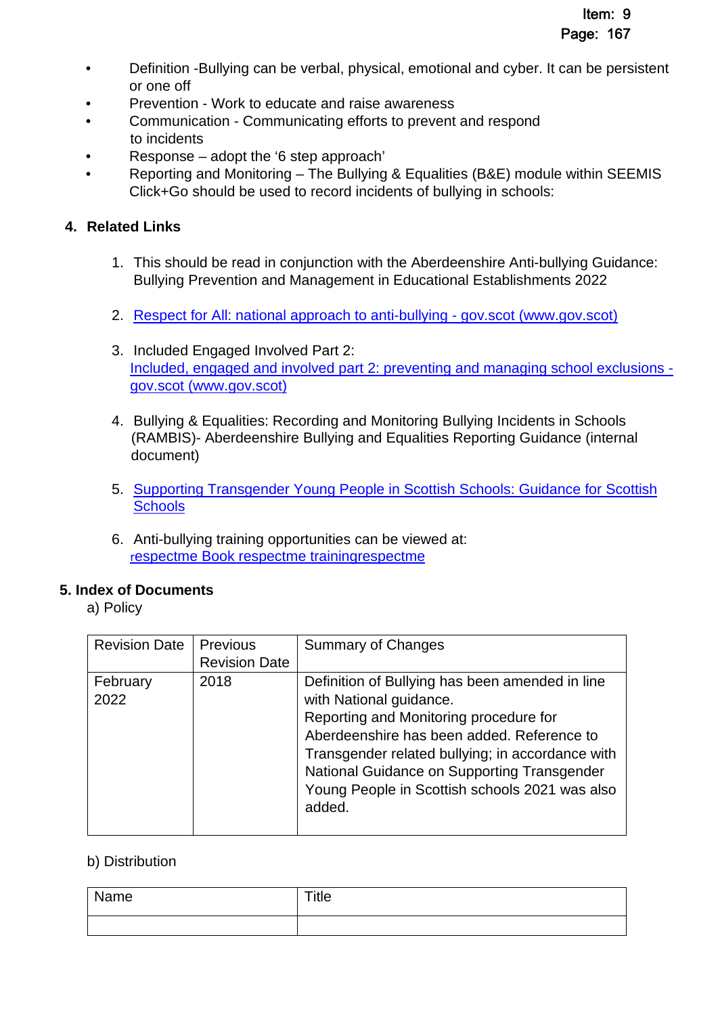- Definition -Bullying can be verbal, physical, emotional and cyber. It can be persistent or one off
- Prevention Work to educate and raise awareness
- Communication Communicating efforts to prevent and respond to incidents
- Response adopt the '6 step approach'
- Reporting and Monitoring The Bullying & Equalities (B&E) module within SEEMIS Click+Go should be used to record incidents of bullying in schools:

### **4. Related Links**

- 1. This should be read in conjunction with the Aberdeenshire Anti-bullying Guidance: Bullying Prevention and Management in Educational Establishments 2022
- 2. [Respect for All: national approach to anti-bullying gov.scot \(www.gov.scot\)](https://www.gov.scot/publications/respect-national-approach-anti-bullying-scotlands-children-young-people/)
- 3. Included Engaged Involved Part 2: [Included, engaged and involved part 2: preventing and managing school exclusions](https://www.gov.scot/publications/included-engaged-involved-part-2-positive-approach-preventing-managing-school/)  [gov.scot \(www.gov.scot\)](https://www.gov.scot/publications/included-engaged-involved-part-2-positive-approach-preventing-managing-school/)
- 4. Bullying & Equalities: Recording and Monitoring Bullying Incidents in Schools (RAMBIS)- Aberdeenshire Bullying and Equalities Reporting Guidance (internal document)
- 5. [Supporting Transgender Young People in Scottish Schools: Guidance for Scottish](https://www.gov.scot/publications/supporting-transgender-young-people-schools-guidance-scottish-schools/)  **Schools**
- 6. Anti-bullying training opportunities can be viewed at: r[espectme Book respectme trainingrespectme](https://respectme.org.uk/training/%20programmes-and-calendar/)

### **5. Index of Documents**

a) Policy

| <b>Revision Date</b> | <b>Previous</b><br><b>Revision Date</b> | <b>Summary of Changes</b>                                                                                                                                                                                                                                                                                                         |
|----------------------|-----------------------------------------|-----------------------------------------------------------------------------------------------------------------------------------------------------------------------------------------------------------------------------------------------------------------------------------------------------------------------------------|
| February<br>2022     | 2018                                    | Definition of Bullying has been amended in line<br>with National guidance.<br>Reporting and Monitoring procedure for<br>Aberdeenshire has been added. Reference to<br>Transgender related bullying; in accordance with<br>National Guidance on Supporting Transgender<br>Young People in Scottish schools 2021 was also<br>added. |

### b) Distribution

| Name | Title |
|------|-------|
|      |       |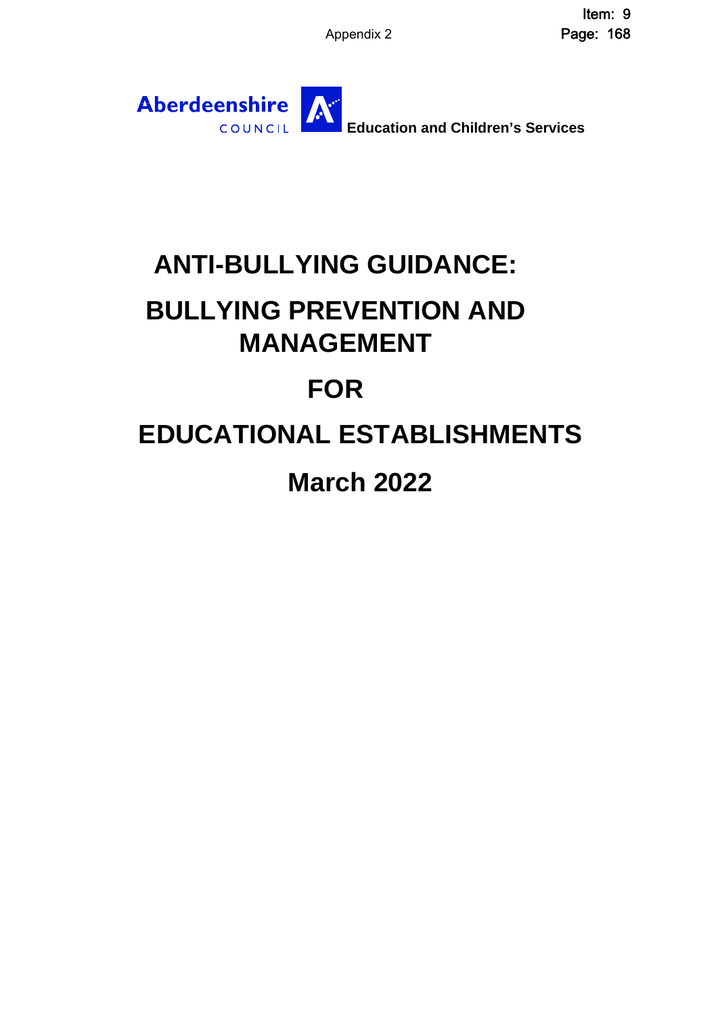Appendix 2 Item: 9 Page: 168



# **ANTI-BULLYING GUIDANCE:**

# **BULLYING PREVENTION AND MANAGEMENT**

# **FOR**

# **EDUCATIONAL ESTABLISHMENTS**

# **March 2022**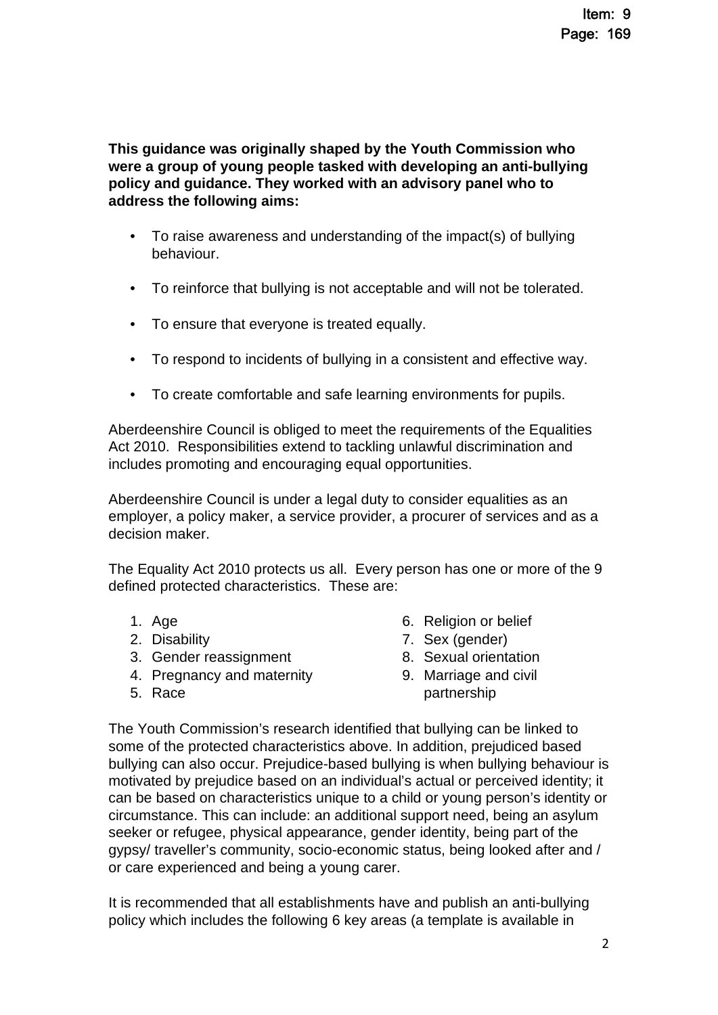**This guidance was originally shaped by the Youth Commission who were a group of young people tasked with developing an anti-bullying policy and guidance. They worked with an advisory panel who to address the following aims:**

- To raise awareness and understanding of the impact(s) of bullying behaviour.
- To reinforce that bullying is not acceptable and will not be tolerated.
- To ensure that everyone is treated equally.
- To respond to incidents of bullying in a consistent and effective way.
- To create comfortable and safe learning environments for pupils.

Aberdeenshire Council is obliged to meet the requirements of the Equalities Act 2010. Responsibilities extend to tackling unlawful discrimination and includes promoting and encouraging equal opportunities.

Aberdeenshire Council is under a legal duty to consider equalities as an employer, a policy maker, a service provider, a procurer of services and as a decision maker.

The Equality Act 2010 protects us all. Every person has one or more of the 9 defined protected characteristics. These are:

- 1. Age
- 2. Disability
- 3. Gender reassignment
- 4. Pregnancy and maternity
- 5. Race
- 6. Religion or belief
- 7. Sex (gender)
- 8. Sexual orientation
- 9. Marriage and civil partnership

The Youth Commission's research identified that bullying can be linked to some of the protected characteristics above. In addition, prejudiced based bullying can also occur. Prejudice-based bullying is when bullying behaviour is motivated by prejudice based on an individual's actual or perceived identity; it can be based on characteristics unique to a child or young person's identity or circumstance. This can include: an additional support need, being an asylum seeker or refugee, physical appearance, gender identity, being part of the gypsy/ traveller's community, socio-economic status, being looked after and / or care experienced and being a young carer.

It is recommended that all establishments have and publish an anti-bullying policy which includes the following 6 key areas (a template is available in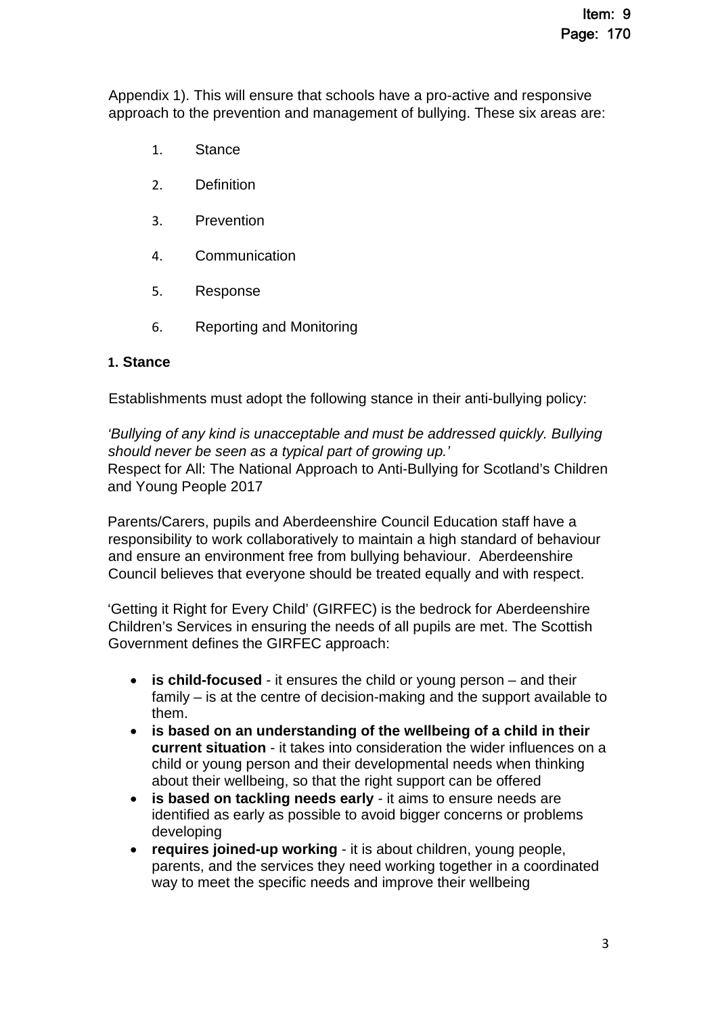Appendix 1). This will ensure that schools have a pro-active and responsive approach to the prevention and management of bullying. These six areas are:

- 1. Stance
- 2. Definition
- 3. Prevention
- 4. Communication
- 5. Response
- 6. Reporting and Monitoring

#### **1. Stance**

Establishments must adopt the following stance in their anti-bullying policy:

*'Bullying of any kind is unacceptable and must be addressed quickly. Bullying should never be seen as a typical part of growing up.'*  Respect for All: The National Approach to Anti-Bullying for Scotland's Children and Young People 2017

Parents/Carers, pupils and Aberdeenshire Council Education staff have a responsibility to work collaboratively to maintain a high standard of behaviour and ensure an environment free from bullying behaviour. Aberdeenshire Council believes that everyone should be treated equally and with respect.

'Getting it Right for Every Child' (GIRFEC) is the bedrock for Aberdeenshire Children's Services in ensuring the needs of all pupils are met. The Scottish Government defines the GIRFEC approach:

- **is child-focused** it ensures the child or young person and their family – is at the centre of decision-making and the support available to them.
- **is based on an understanding of the wellbeing of a child in their current situation** - it takes into consideration the wider influences on a child or young person and their developmental needs when thinking about their wellbeing, so that the right support can be offered
- **is based on tackling needs early** it aims to ensure needs are identified as early as possible to avoid bigger concerns or problems developing
- **requires joined-up working** it is about children, young people, parents, and the services they need working together in a coordinated way to meet the specific needs and improve their wellbeing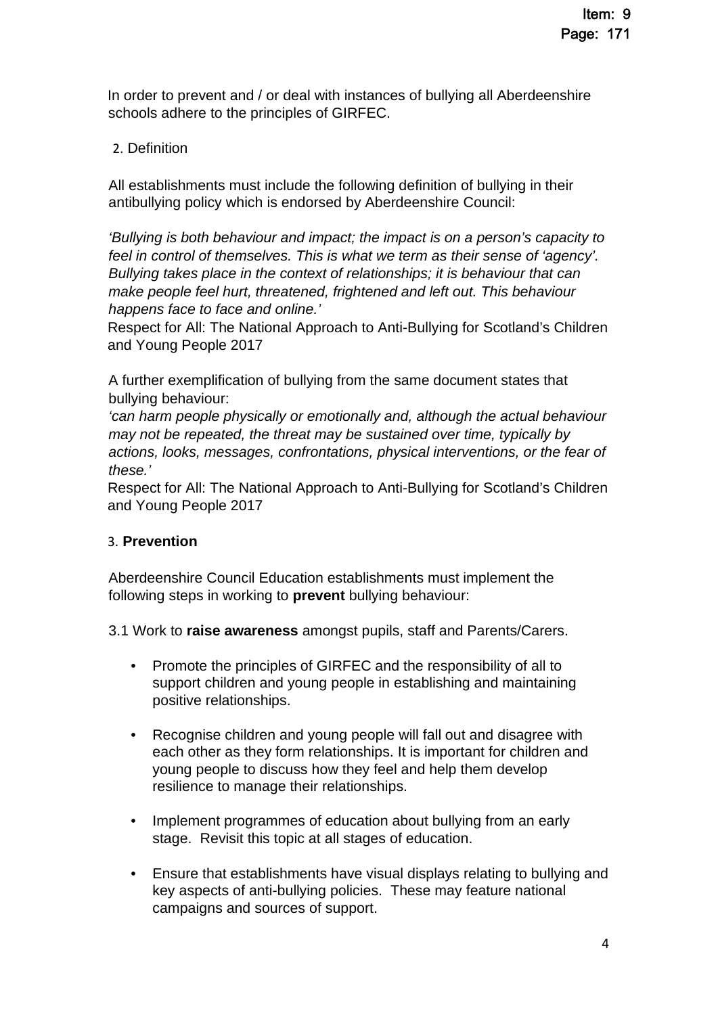In order to prevent and / or deal with instances of bullying all Aberdeenshire schools adhere to the principles of GIRFEC.

### 2. Definition

All establishments must include the following definition of bullying in their antibullying policy which is endorsed by Aberdeenshire Council:

*'Bullying is both behaviour and impact; the impact is on a person's capacity to feel in control of themselves. This is what we term as their sense of 'agency'. Bullying takes place in the context of relationships; it is behaviour that can make people feel hurt, threatened, frightened and left out. This behaviour happens face to face and online.'* 

Respect for All: The National Approach to Anti-Bullying for Scotland's Children and Young People 2017

A further exemplification of bullying from the same document states that bullying behaviour:

*'can harm people physically or emotionally and, although the actual behaviour may not be repeated, the threat may be sustained over time, typically by actions, looks, messages, confrontations, physical interventions, or the fear of these.'* 

Respect for All: The National Approach to Anti-Bullying for Scotland's Children and Young People 2017

### 3. **Prevention**

Aberdeenshire Council Education establishments must implement the following steps in working to **prevent** bullying behaviour:

3.1 Work to **raise awareness** amongst pupils, staff and Parents/Carers.

- Promote the principles of GIRFEC and the responsibility of all to support children and young people in establishing and maintaining positive relationships.
- Recognise children and young people will fall out and disagree with each other as they form relationships. It is important for children and young people to discuss how they feel and help them develop resilience to manage their relationships.
- Implement programmes of education about bullying from an early stage. Revisit this topic at all stages of education.
- Ensure that establishments have visual displays relating to bullying and key aspects of anti-bullying policies. These may feature national campaigns and sources of support.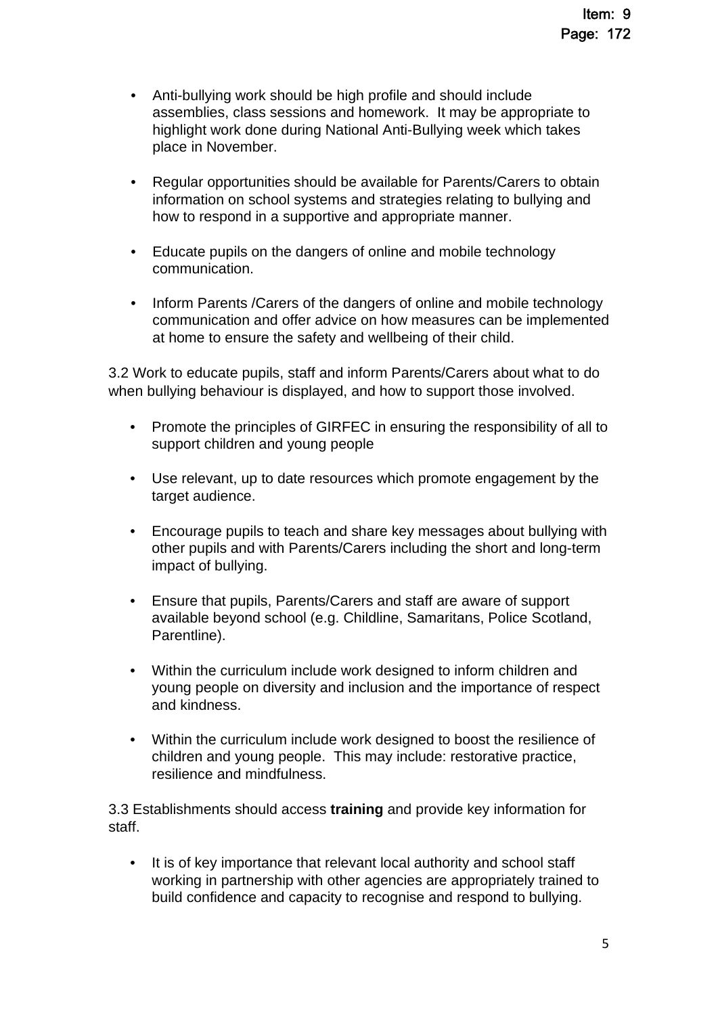- Anti-bullying work should be high profile and should include assemblies, class sessions and homework. It may be appropriate to highlight work done during National Anti-Bullying week which takes place in November.
- Regular opportunities should be available for Parents/Carers to obtain information on school systems and strategies relating to bullying and how to respond in a supportive and appropriate manner.
- Educate pupils on the dangers of online and mobile technology communication.
- Inform Parents / Carers of the dangers of online and mobile technology communication and offer advice on how measures can be implemented at home to ensure the safety and wellbeing of their child.

3.2 Work to educate pupils, staff and inform Parents/Carers about what to do when bullying behaviour is displayed, and how to support those involved.

- Promote the principles of GIRFEC in ensuring the responsibility of all to support children and young people
- Use relevant, up to date resources which promote engagement by the target audience.
- Encourage pupils to teach and share key messages about bullying with other pupils and with Parents/Carers including the short and long-term impact of bullying.
- Ensure that pupils, Parents/Carers and staff are aware of support available beyond school (e.g. Childline, Samaritans, Police Scotland, Parentline).
- Within the curriculum include work designed to inform children and young people on diversity and inclusion and the importance of respect and kindness.
- Within the curriculum include work designed to boost the resilience of children and young people. This may include: restorative practice, resilience and mindfulness.

3.3 Establishments should access **training** and provide key information for staff.

• It is of key importance that relevant local authority and school staff working in partnership with other agencies are appropriately trained to build confidence and capacity to recognise and respond to bullying.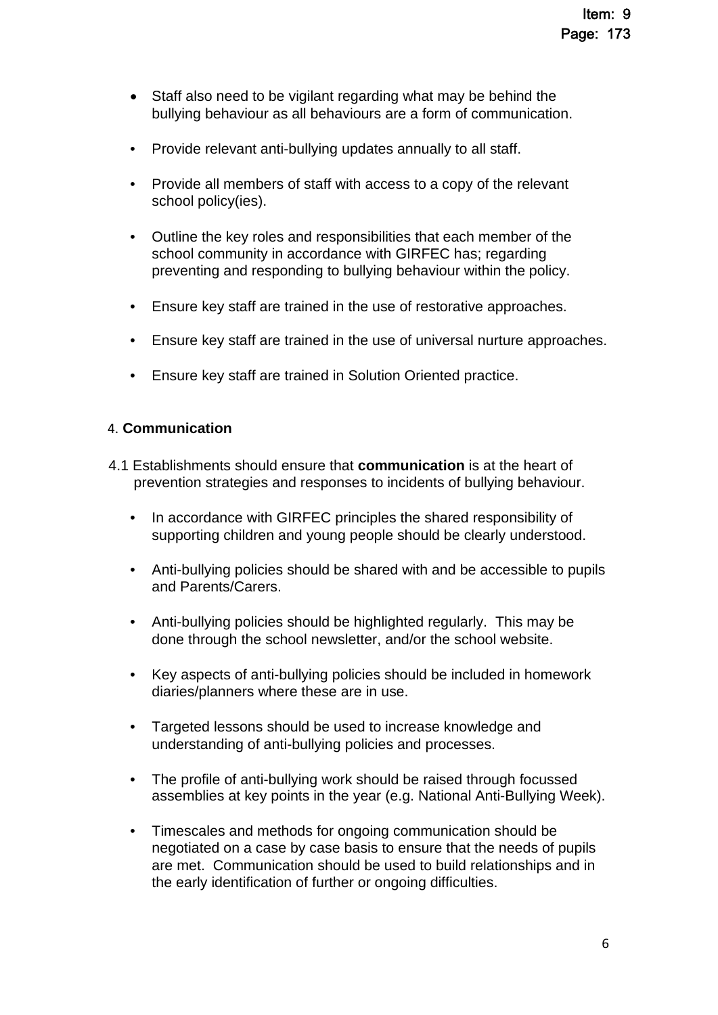- Staff also need to be vigilant regarding what may be behind the bullying behaviour as all behaviours are a form of communication.
- Provide relevant anti-bullying updates annually to all staff.
- Provide all members of staff with access to a copy of the relevant school policy(ies).
- Outline the key roles and responsibilities that each member of the school community in accordance with GIRFEC has; regarding preventing and responding to bullying behaviour within the policy.
- Ensure key staff are trained in the use of restorative approaches.
- Ensure key staff are trained in the use of universal nurture approaches.
- Ensure key staff are trained in Solution Oriented practice.

### 4. **Communication**

- 4.1 Establishments should ensure that **communication** is at the heart of prevention strategies and responses to incidents of bullying behaviour.
	- In accordance with GIRFEC principles the shared responsibility of supporting children and young people should be clearly understood.
	- Anti-bullying policies should be shared with and be accessible to pupils and Parents/Carers.
	- Anti-bullying policies should be highlighted regularly. This may be done through the school newsletter, and/or the school website.
	- Key aspects of anti-bullying policies should be included in homework diaries/planners where these are in use.
	- Targeted lessons should be used to increase knowledge and understanding of anti-bullying policies and processes.
	- The profile of anti-bullying work should be raised through focussed assemblies at key points in the year (e.g. National Anti-Bullying Week).
	- Timescales and methods for ongoing communication should be negotiated on a case by case basis to ensure that the needs of pupils are met. Communication should be used to build relationships and in the early identification of further or ongoing difficulties.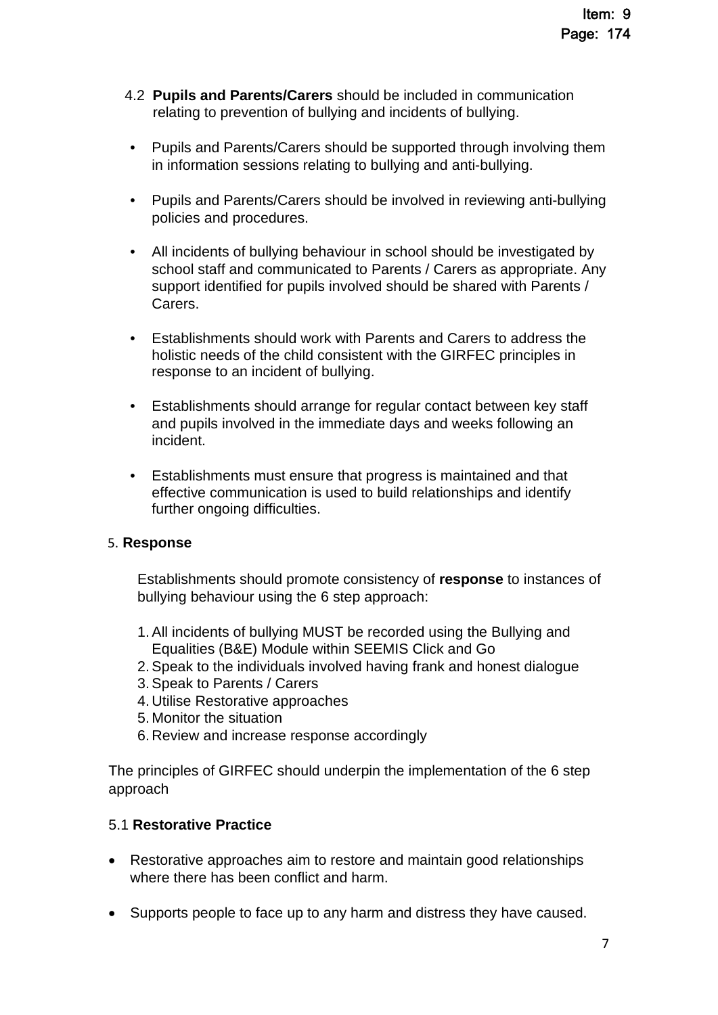- 4.2 **Pupils and Parents/Carers** should be included in communication relating to prevention of bullying and incidents of bullying.
- Pupils and Parents/Carers should be supported through involving them in information sessions relating to bullying and anti-bullying.
- Pupils and Parents/Carers should be involved in reviewing anti-bullying policies and procedures.
- All incidents of bullying behaviour in school should be investigated by school staff and communicated to Parents / Carers as appropriate. Any support identified for pupils involved should be shared with Parents / Carers.
- Establishments should work with Parents and Carers to address the holistic needs of the child consistent with the GIRFEC principles in response to an incident of bullying.
- Establishments should arrange for regular contact between key staff and pupils involved in the immediate days and weeks following an incident.
- Establishments must ensure that progress is maintained and that effective communication is used to build relationships and identify further ongoing difficulties.

### 5. **Response**

Establishments should promote consistency of **response** to instances of bullying behaviour using the 6 step approach:

- 1. All incidents of bullying MUST be recorded using the Bullying and Equalities (B&E) Module within SEEMIS Click and Go
- 2. Speak to the individuals involved having frank and honest dialogue
- 3. Speak to Parents / Carers
- 4. Utilise Restorative approaches
- 5. Monitor the situation
- 6. Review and increase response accordingly

The principles of GIRFEC should underpin the implementation of the 6 step approach

### 5.1 **Restorative Practice**

- Restorative approaches aim to restore and maintain good relationships where there has been conflict and harm.
- Supports people to face up to any harm and distress they have caused.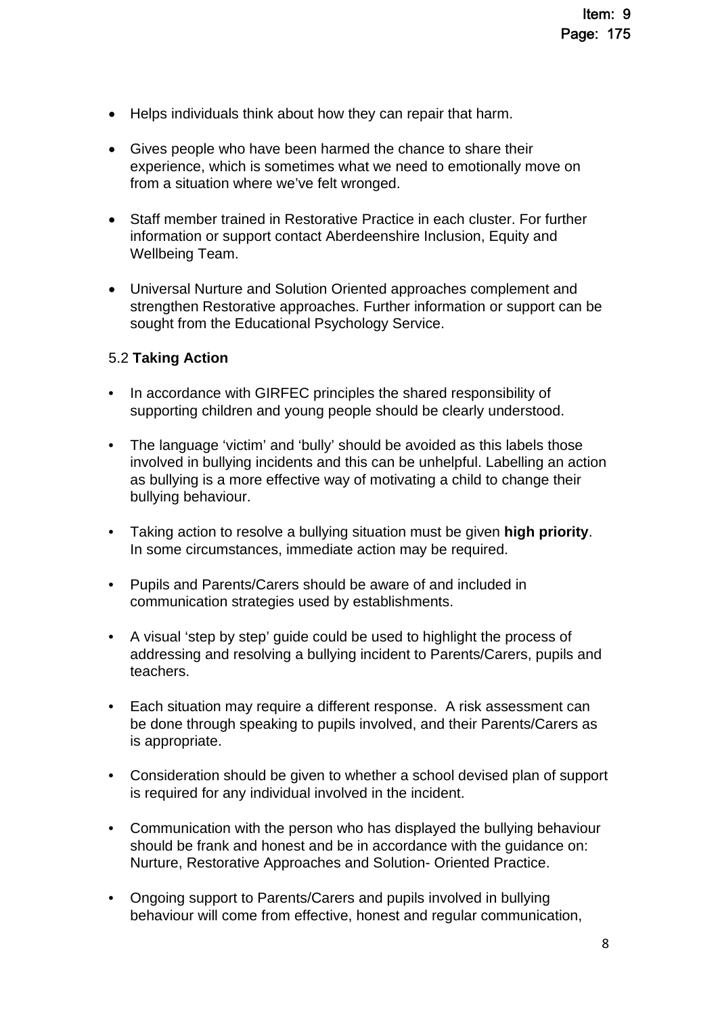- Helps individuals think about how they can repair that harm.
- Gives people who have been harmed the chance to share their experience, which is sometimes what we need to emotionally move on from a situation where we've felt wronged.
- Staff member trained in Restorative Practice in each cluster. For further information or support contact Aberdeenshire Inclusion, Equity and Wellbeing Team.
- Universal Nurture and Solution Oriented approaches complement and strengthen Restorative approaches. Further information or support can be sought from the Educational Psychology Service.

### 5.2 **Taking Action**

- In accordance with GIRFEC principles the shared responsibility of supporting children and young people should be clearly understood.
- The language 'victim' and 'bully' should be avoided as this labels those involved in bullying incidents and this can be unhelpful. Labelling an action as bullying is a more effective way of motivating a child to change their bullying behaviour.
- Taking action to resolve a bullying situation must be given **high priority**. In some circumstances, immediate action may be required.
- Pupils and Parents/Carers should be aware of and included in communication strategies used by establishments.
- A visual 'step by step' guide could be used to highlight the process of addressing and resolving a bullying incident to Parents/Carers, pupils and teachers.
- Each situation may require a different response. A risk assessment can be done through speaking to pupils involved, and their Parents/Carers as is appropriate.
- Consideration should be given to whether a school devised plan of support is required for any individual involved in the incident.
- Communication with the person who has displayed the bullying behaviour should be frank and honest and be in accordance with the guidance on: Nurture, Restorative Approaches and Solution- Oriented Practice.
- Ongoing support to Parents/Carers and pupils involved in bullying behaviour will come from effective, honest and regular communication,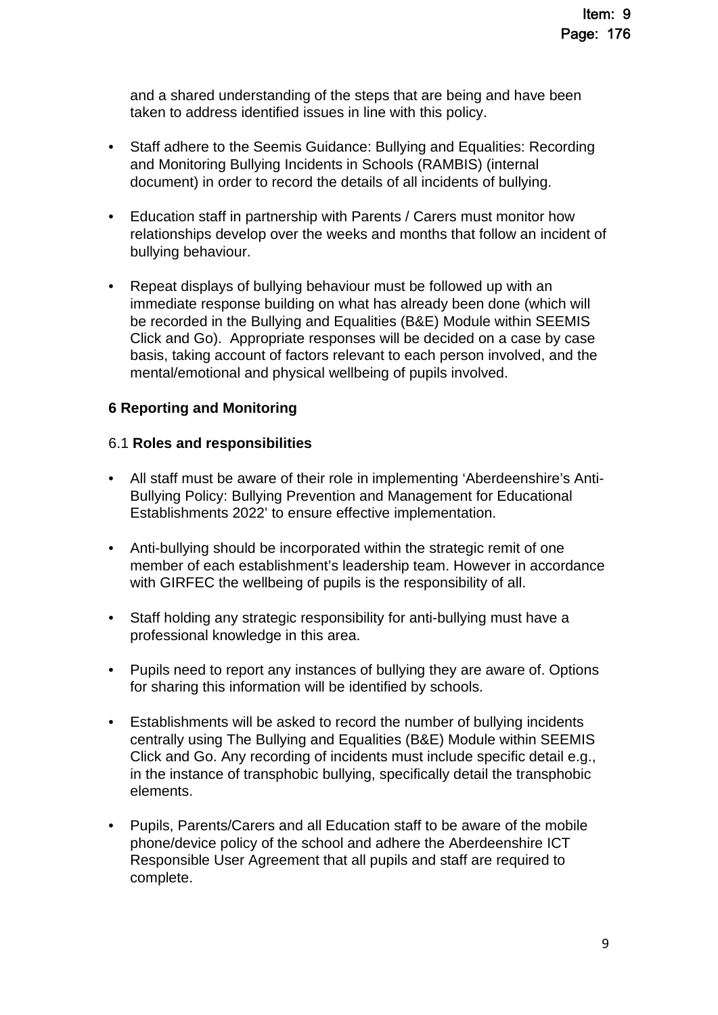and a shared understanding of the steps that are being and have been taken to address identified issues in line with this policy.

- Staff adhere to the Seemis Guidance: Bullying and Equalities: Recording and Monitoring Bullying Incidents in Schools (RAMBIS) (internal document) in order to record the details of all incidents of bullying.
- Education staff in partnership with Parents / Carers must monitor how relationships develop over the weeks and months that follow an incident of bullying behaviour.
- Repeat displays of bullying behaviour must be followed up with an immediate response building on what has already been done (which will be recorded in the Bullying and Equalities (B&E) Module within SEEMIS Click and Go). Appropriate responses will be decided on a case by case basis, taking account of factors relevant to each person involved, and the mental/emotional and physical wellbeing of pupils involved.

### **6 Reporting and Monitoring**

#### 6.1 **Roles and responsibilities**

- All staff must be aware of their role in implementing 'Aberdeenshire's Anti-Bullying Policy: Bullying Prevention and Management for Educational Establishments 2022' to ensure effective implementation.
- Anti-bullying should be incorporated within the strategic remit of one member of each establishment's leadership team. However in accordance with GIRFEC the wellbeing of pupils is the responsibility of all.
- Staff holding any strategic responsibility for anti-bullying must have a professional knowledge in this area.
- Pupils need to report any instances of bullying they are aware of. Options for sharing this information will be identified by schools.
- Establishments will be asked to record the number of bullying incidents centrally using The Bullying and Equalities (B&E) Module within SEEMIS Click and Go. Any recording of incidents must include specific detail e.g., in the instance of transphobic bullying, specifically detail the transphobic elements.
- Pupils, Parents/Carers and all Education staff to be aware of the mobile phone/device policy of the school and adhere the Aberdeenshire ICT Responsible User Agreement that all pupils and staff are required to complete.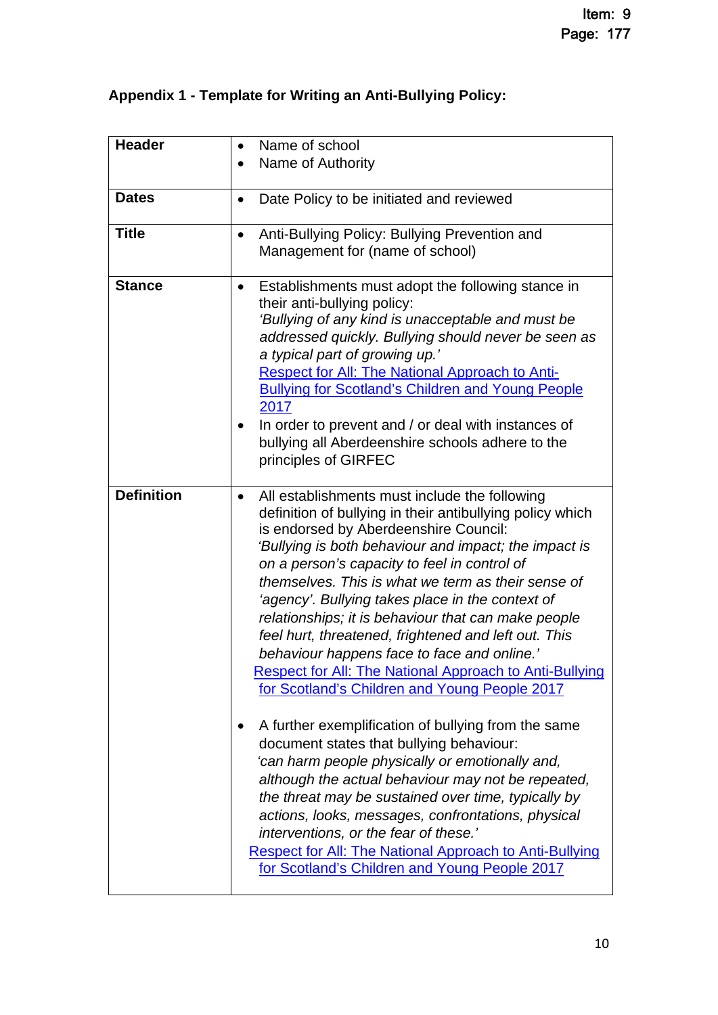## **Appendix 1 - Template for Writing an Anti-Bullying Policy:**

| <b>Header</b>     | Name of school<br>$\bullet$                                                                                                                                                                                                                                                                                                                                                                                                                                                                                                                                                                                                                                                                                                                                                                                                                                                                                                                                                                                                                                                                                                                       |
|-------------------|---------------------------------------------------------------------------------------------------------------------------------------------------------------------------------------------------------------------------------------------------------------------------------------------------------------------------------------------------------------------------------------------------------------------------------------------------------------------------------------------------------------------------------------------------------------------------------------------------------------------------------------------------------------------------------------------------------------------------------------------------------------------------------------------------------------------------------------------------------------------------------------------------------------------------------------------------------------------------------------------------------------------------------------------------------------------------------------------------------------------------------------------------|
|                   | Name of Authority<br>$\bullet$                                                                                                                                                                                                                                                                                                                                                                                                                                                                                                                                                                                                                                                                                                                                                                                                                                                                                                                                                                                                                                                                                                                    |
|                   |                                                                                                                                                                                                                                                                                                                                                                                                                                                                                                                                                                                                                                                                                                                                                                                                                                                                                                                                                                                                                                                                                                                                                   |
| <b>Dates</b>      | Date Policy to be initiated and reviewed<br>$\bullet$                                                                                                                                                                                                                                                                                                                                                                                                                                                                                                                                                                                                                                                                                                                                                                                                                                                                                                                                                                                                                                                                                             |
| <b>Title</b>      | Anti-Bullying Policy: Bullying Prevention and<br>٠<br>Management for (name of school)                                                                                                                                                                                                                                                                                                                                                                                                                                                                                                                                                                                                                                                                                                                                                                                                                                                                                                                                                                                                                                                             |
| <b>Stance</b>     | Establishments must adopt the following stance in<br>٠<br>their anti-bullying policy:<br>'Bullying of any kind is unacceptable and must be<br>addressed quickly. Bullying should never be seen as<br>a typical part of growing up.'<br><b>Respect for All: The National Approach to Anti-</b><br><b>Bullying for Scotland's Children and Young People</b><br>2017<br>In order to prevent and / or deal with instances of<br>bullying all Aberdeenshire schools adhere to the<br>principles of GIRFEC                                                                                                                                                                                                                                                                                                                                                                                                                                                                                                                                                                                                                                              |
| <b>Definition</b> | All establishments must include the following<br>٠<br>definition of bullying in their antibullying policy which<br>is endorsed by Aberdeenshire Council:<br>'Bullying is both behaviour and impact; the impact is<br>on a person's capacity to feel in control of<br>themselves. This is what we term as their sense of<br>'agency'. Bullying takes place in the context of<br>relationships; it is behaviour that can make people<br>feel hurt, threatened, frightened and left out. This<br>behaviour happens face to face and online.'<br><b>Respect for All: The National Approach to Anti-Bullying</b><br>for Scotland's Children and Young People 2017<br>A further exemplification of bullying from the same<br>document states that bullying behaviour:<br>'can harm people physically or emotionally and,<br>although the actual behaviour may not be repeated,<br>the threat may be sustained over time, typically by<br>actions, looks, messages, confrontations, physical<br>interventions, or the fear of these.'<br><b>Respect for All: The National Approach to Anti-Bullying</b><br>for Scotland's Children and Young People 2017 |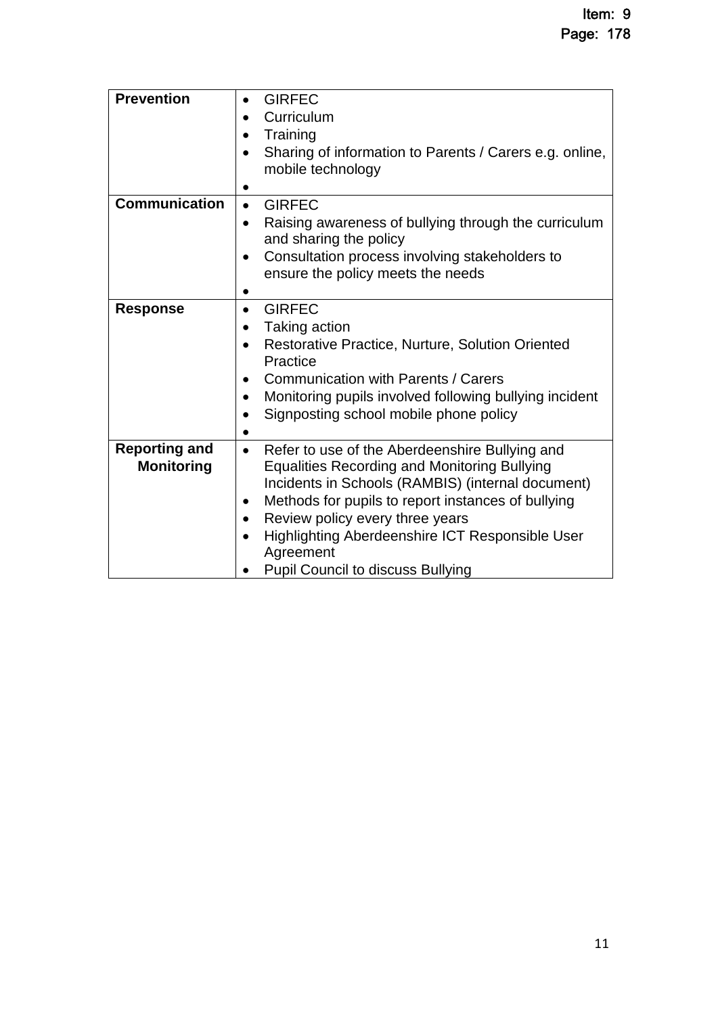| <b>Prevention</b>                         | <b>GIRFEC</b><br>$\bullet$<br>Curriculum<br>$\bullet$<br>Training<br>$\bullet$<br>Sharing of information to Parents / Carers e.g. online,<br>$\bullet$<br>mobile technology                                                                                                                                                                                                                                         |
|-------------------------------------------|---------------------------------------------------------------------------------------------------------------------------------------------------------------------------------------------------------------------------------------------------------------------------------------------------------------------------------------------------------------------------------------------------------------------|
| <b>Communication</b>                      | <b>GIRFEC</b><br>$\bullet$<br>Raising awareness of bullying through the curriculum<br>$\bullet$<br>and sharing the policy<br>Consultation process involving stakeholders to<br>$\bullet$<br>ensure the policy meets the needs                                                                                                                                                                                       |
| <b>Response</b>                           | <b>GIRFEC</b><br>$\bullet$<br>Taking action<br>$\bullet$<br>Restorative Practice, Nurture, Solution Oriented<br>$\bullet$<br>Practice<br><b>Communication with Parents / Carers</b><br>$\bullet$<br>Monitoring pupils involved following bullying incident<br>$\bullet$<br>Signposting school mobile phone policy                                                                                                   |
| <b>Reporting and</b><br><b>Monitoring</b> | Refer to use of the Aberdeenshire Bullying and<br>$\bullet$<br><b>Equalities Recording and Monitoring Bullying</b><br>Incidents in Schools (RAMBIS) (internal document)<br>Methods for pupils to report instances of bullying<br>$\bullet$<br>Review policy every three years<br>$\bullet$<br>Highlighting Aberdeenshire ICT Responsible User<br>$\bullet$<br>Agreement<br><b>Pupil Council to discuss Bullying</b> |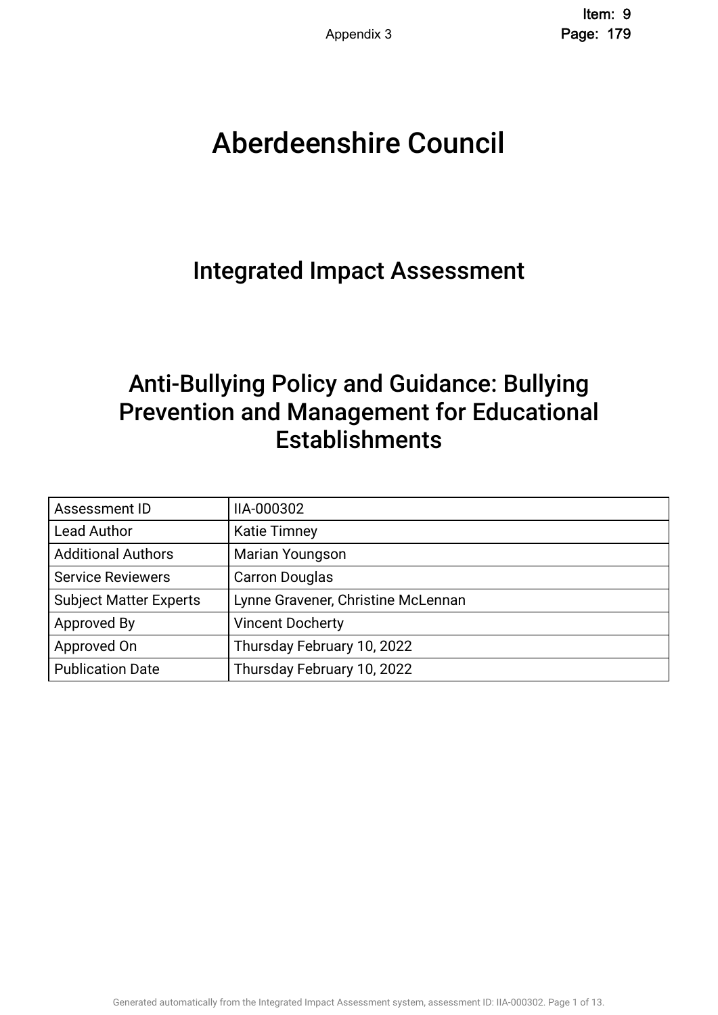# Aberdeenshire Council .

## Integrated Impact Assessment.

## Anti-Bullying Policy and Guidance: Bullying Prevention and Management for Educational **Establishments**

| Assessment ID                 | IIA-000302                         |
|-------------------------------|------------------------------------|
| <b>Lead Author</b>            | <b>Katie Timney</b>                |
| <b>Additional Authors</b>     | Marian Youngson                    |
| <b>Service Reviewers</b>      | <b>Carron Douglas</b>              |
| <b>Subject Matter Experts</b> | Lynne Gravener, Christine McLennan |
| Approved By                   | <b>Vincent Docherty</b>            |
| Approved On                   | Thursday February 10, 2022         |
| <b>Publication Date</b>       | Thursday February 10, 2022         |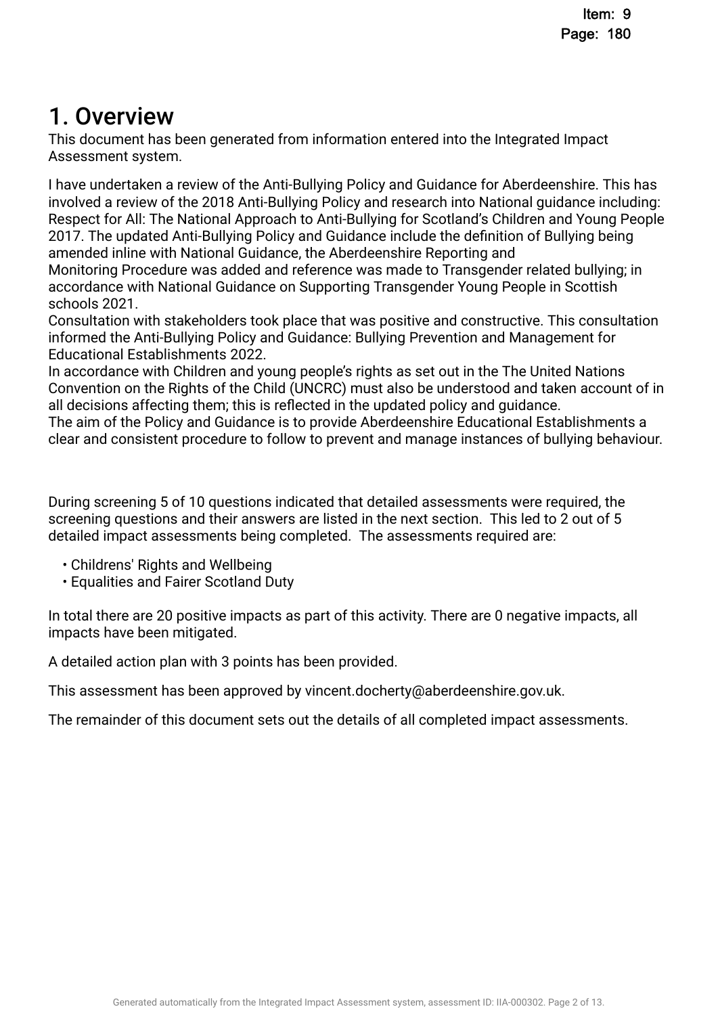## 1. Overview.

This document has been generated from information entered into the Integrated Impact Assessment system.

I have undertaken a review of the Anti-Bullying Policy and Guidance for Aberdeenshire. This has involved a review of the 2018 Anti-Bullying Policy and research into National guidance including: Respect for All: The National Approach to Anti-Bullying for Scotland's Children and Young People 2017. The updated Anti-Bullying Policy and Guidance include the defnition of Bullying being amended inline with National Guidance, the Aberdeenshire Reporting and

Monitoring Procedure was added and reference was made to Transgender related bullying; in accordance with National Guidance on Supporting Transgender Young People in Scottish schools 2021.

Consultation with stakeholders took place that was positive and constructive. This consultation informed the Anti-Bullying Policy and Guidance: Bullying Prevention and Management for Educational Establishments 2022.

In accordance with Children and young people's rights as set out in the The United Nations Convention on the Rights of the Child (UNCRC) must also be understood and taken account of in all decisions affecting them; this is refected in the updated policy and guidance.

The aim of the Policy and Guidance is to provide Aberdeenshire Educational Establishments a clear and consistent procedure to follow to prevent and manage instances of bullying behaviour.

During screening 5 of 10 questions indicated that detailed assessments were required, the screening questions and their answers are listed in the next section. This led to 2 out of 5 detailed impact assessments being completed. The assessments required are:

- Childrens' Rights and Wellbeing
- Equalities and Fairer Scotland Duty

In total there are 20 positive impacts as part of this activity. There are 0 negative impacts, all impacts have been mitigated.

A detailed action plan with 3 points has been provided.

This assessment has been approved by vincent.docherty@aberdeenshire.gov.uk.

The remainder of this document sets out the details of all completed impact assessments.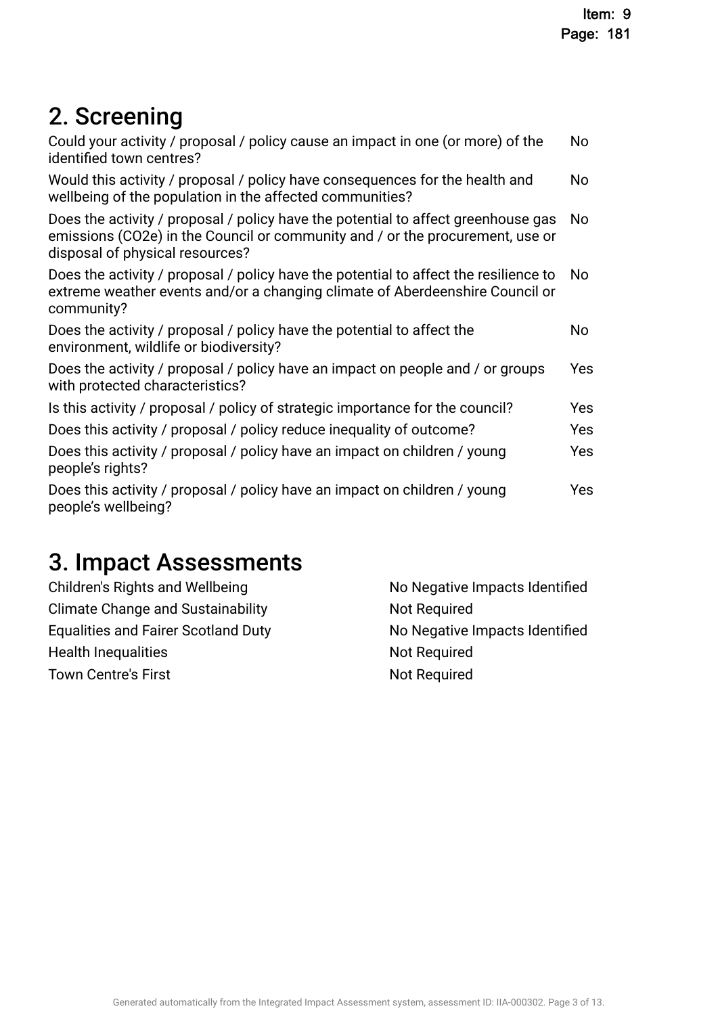## 2. Screening

| Could your activity / proposal / policy cause an impact in one (or more) of the<br>identified town centres?                                                                                           | No  |
|-------------------------------------------------------------------------------------------------------------------------------------------------------------------------------------------------------|-----|
| Would this activity / proposal / policy have consequences for the health and<br>wellbeing of the population in the affected communities?                                                              | No  |
| Does the activity / proposal / policy have the potential to affect greenhouse gas<br>emissions (CO2e) in the Council or community and / or the procurement, use or<br>disposal of physical resources? | No  |
| Does the activity / proposal / policy have the potential to affect the resilience to<br>extreme weather events and/or a changing climate of Aberdeenshire Council or<br>community?                    | No. |
| Does the activity / proposal / policy have the potential to affect the<br>environment, wildlife or biodiversity?                                                                                      | No  |
| Does the activity / proposal / policy have an impact on people and / or groups<br>with protected characteristics?                                                                                     | Yes |
| Is this activity / proposal / policy of strategic importance for the council?                                                                                                                         | Yes |
| Does this activity / proposal / policy reduce inequality of outcome?                                                                                                                                  | Yes |
| Does this activity / proposal / policy have an impact on children / young<br>people's rights?                                                                                                         | Yes |
| Does this activity / proposal / policy have an impact on children / young<br>people's wellbeing?                                                                                                      | Yes |

## 3. Impact Assessments

| Children's Rights and Wellbeing            | No Negative Impacts Identified |
|--------------------------------------------|--------------------------------|
| <b>Climate Change and Sustainability</b>   | Not Required                   |
| <b>Equalities and Fairer Scotland Duty</b> | No Negative Impacts Identified |
| <b>Health Inequalities</b>                 | Not Required                   |
| <b>Town Centre's First</b>                 | Not Required                   |
|                                            |                                |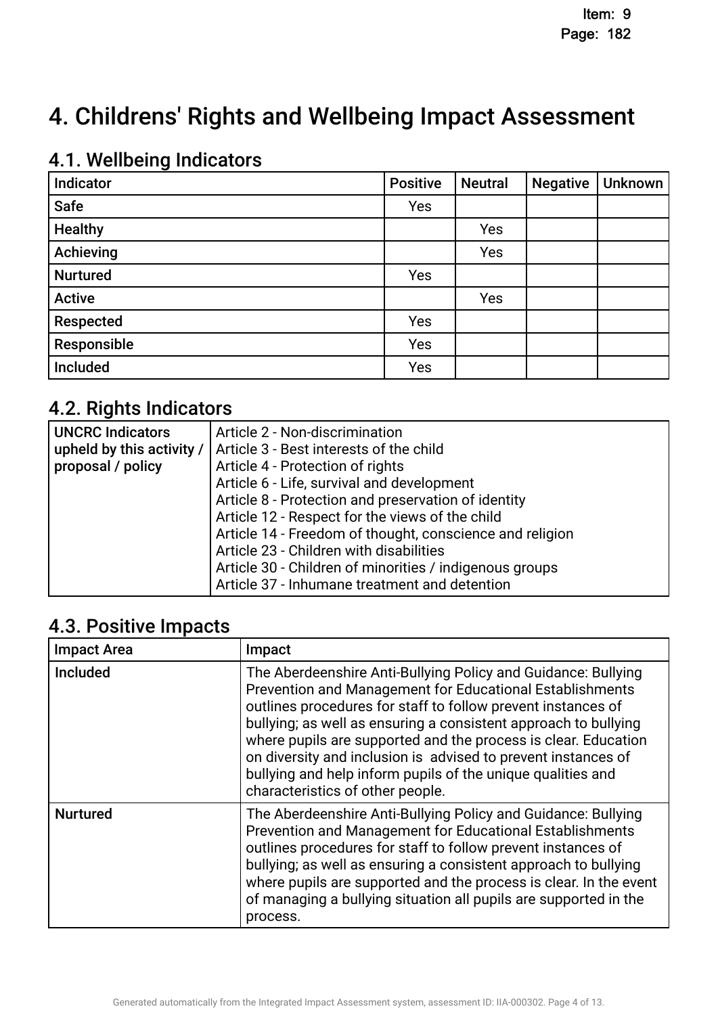## 4. Childrens' Rights and Wellbeing Impact Assessment

## 4.1. Wellbeing Indicators

| Indicator       | <b>Positive</b> | <b>Neutral</b> | <b>Negative</b> | <b>Unknown</b> |
|-----------------|-----------------|----------------|-----------------|----------------|
| <b>Safe</b>     | Yes             |                |                 |                |
| <b>Healthy</b>  |                 | Yes            |                 |                |
| Achieving       |                 | Yes            |                 |                |
| <b>Nurtured</b> | Yes             |                |                 |                |
| <b>Active</b>   |                 | Yes            |                 |                |
| Respected       | Yes             |                |                 |                |
| Responsible     | Yes             |                |                 |                |
| Included        | Yes             |                |                 |                |

## 4.2. Rights Indicators

| UNCRC Indicators  | Article 2 - Non-discrimination                                      |
|-------------------|---------------------------------------------------------------------|
|                   | upheld by this activity /   Article 3 - Best interests of the child |
| proposal / policy | Article 4 - Protection of rights                                    |
|                   | Article 6 - Life, survival and development                          |
|                   | Article 8 - Protection and preservation of identity                 |
|                   | Article 12 - Respect for the views of the child                     |
|                   | Article 14 - Freedom of thought, conscience and religion            |
|                   | Article 23 - Children with disabilities                             |
|                   | Article 30 - Children of minorities / indigenous groups             |
|                   | Article 37 - Inhumane treatment and detention                       |

### 4.3. Positive Impacts

| <b>Impact Area</b> | Impact                                                                                                                                                                                                                                                                                                                                                                                                                                                                                             |
|--------------------|----------------------------------------------------------------------------------------------------------------------------------------------------------------------------------------------------------------------------------------------------------------------------------------------------------------------------------------------------------------------------------------------------------------------------------------------------------------------------------------------------|
| <b>Included</b>    | The Aberdeenshire Anti-Bullying Policy and Guidance: Bullying<br>Prevention and Management for Educational Establishments<br>outlines procedures for staff to follow prevent instances of<br>bullying; as well as ensuring a consistent approach to bullying<br>where pupils are supported and the process is clear. Education<br>on diversity and inclusion is advised to prevent instances of<br>bullying and help inform pupils of the unique qualities and<br>characteristics of other people. |
| <b>Nurtured</b>    | The Aberdeenshire Anti-Bullying Policy and Guidance: Bullying<br>Prevention and Management for Educational Establishments<br>outlines procedures for staff to follow prevent instances of<br>bullying; as well as ensuring a consistent approach to bullying<br>where pupils are supported and the process is clear. In the event<br>of managing a bullying situation all pupils are supported in the<br>process.                                                                                  |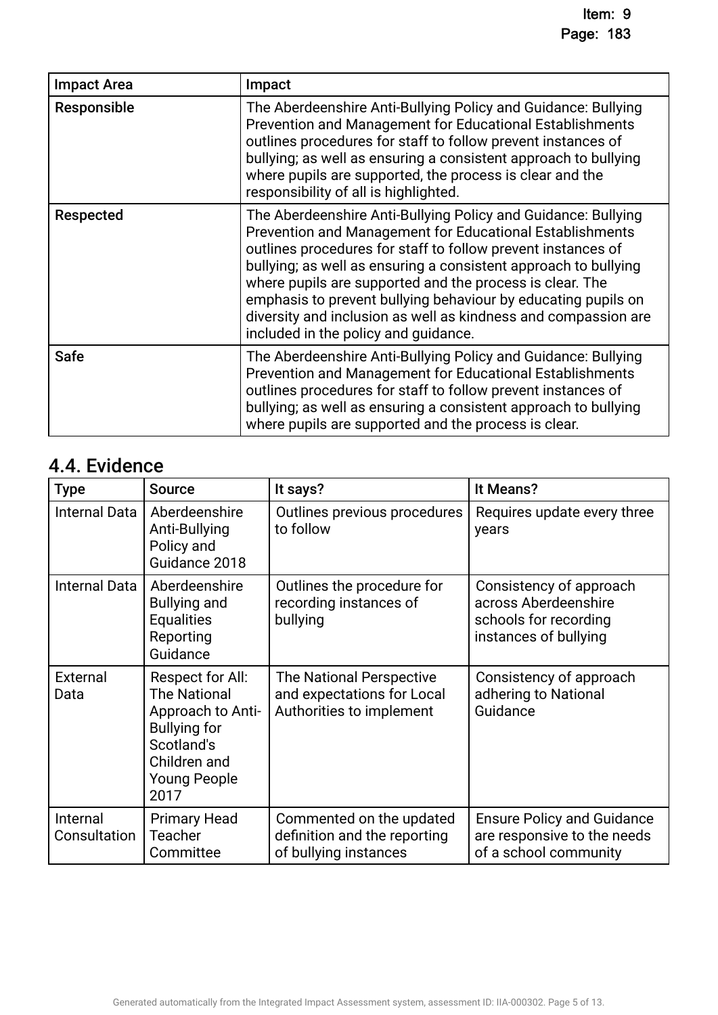| <b>Impact Area</b> | Impact                                                                                                                                                                                                                                                                                                                                                                                                                                                                                              |
|--------------------|-----------------------------------------------------------------------------------------------------------------------------------------------------------------------------------------------------------------------------------------------------------------------------------------------------------------------------------------------------------------------------------------------------------------------------------------------------------------------------------------------------|
| Responsible        | The Aberdeenshire Anti-Bullying Policy and Guidance: Bullying<br>Prevention and Management for Educational Establishments<br>outlines procedures for staff to follow prevent instances of<br>bullying; as well as ensuring a consistent approach to bullying<br>where pupils are supported, the process is clear and the<br>responsibility of all is highlighted.                                                                                                                                   |
| Respected          | The Aberdeenshire Anti-Bullying Policy and Guidance: Bullying<br>Prevention and Management for Educational Establishments<br>outlines procedures for staff to follow prevent instances of<br>bullying; as well as ensuring a consistent approach to bullying<br>where pupils are supported and the process is clear. The<br>emphasis to prevent bullying behaviour by educating pupils on<br>diversity and inclusion as well as kindness and compassion are<br>included in the policy and guidance. |
| <b>Safe</b>        | The Aberdeenshire Anti-Bullying Policy and Guidance: Bullying<br>Prevention and Management for Educational Establishments<br>outlines procedures for staff to follow prevent instances of<br>bullying; as well as ensuring a consistent approach to bullying<br>where pupils are supported and the process is clear.                                                                                                                                                                                |

## 4.4. Evidence

| <b>Type</b>              | <b>Source</b>                                                                                                                                    | It says?                                                                           | It Means?                                                                                         |
|--------------------------|--------------------------------------------------------------------------------------------------------------------------------------------------|------------------------------------------------------------------------------------|---------------------------------------------------------------------------------------------------|
| Internal Data            | Aberdeenshire<br>Anti-Bullying<br>Policy and<br>Guidance 2018                                                                                    | Outlines previous procedures<br>to follow                                          | Requires update every three<br>years                                                              |
| Internal Data            | Aberdeenshire<br><b>Bullying and</b><br><b>Equalities</b><br>Reporting<br>Guidance                                                               | Outlines the procedure for<br>recording instances of<br>bullying                   | Consistency of approach<br>across Aberdeenshire<br>schools for recording<br>instances of bullying |
| External<br>Data         | Respect for All:<br><b>The National</b><br>Approach to Anti-<br><b>Bullying for</b><br>Scotland's<br>Children and<br><b>Young People</b><br>2017 | The National Perspective<br>and expectations for Local<br>Authorities to implement | Consistency of approach<br>adhering to National<br>Guidance                                       |
| Internal<br>Consultation | <b>Primary Head</b><br><b>Teacher</b><br>Committee                                                                                               | Commented on the updated<br>definition and the reporting<br>of bullying instances  | <b>Ensure Policy and Guidance</b><br>are responsive to the needs<br>of a school community         |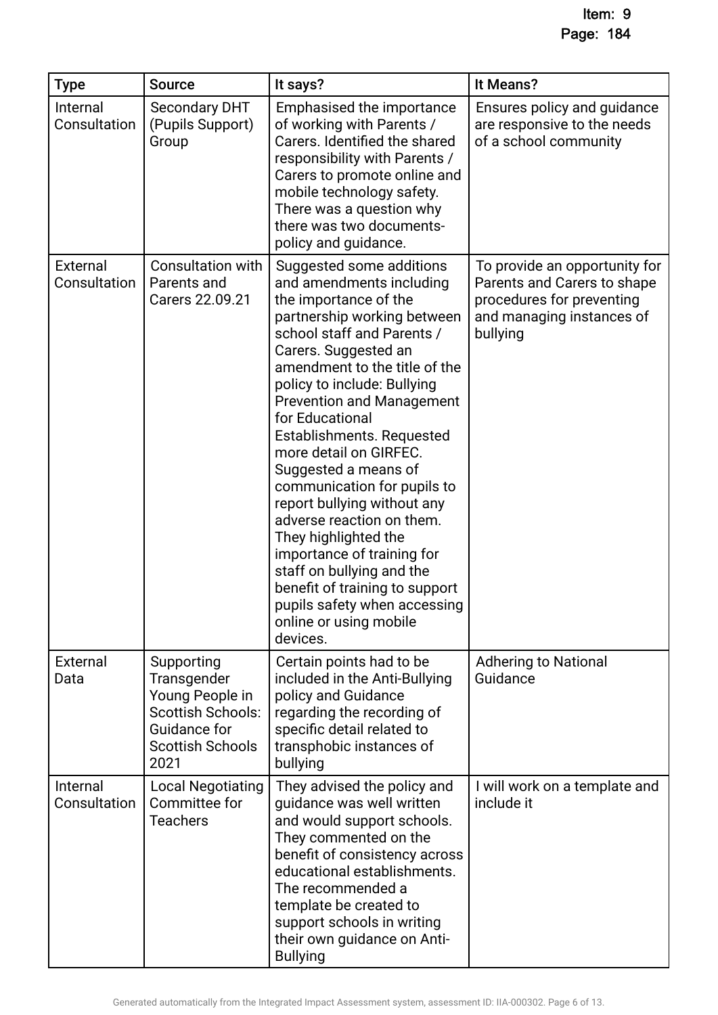| <b>Type</b>              | <b>Source</b>                                                                                                               | It says?                                                                                                                                                                                                                                                                                                                                                                                                                                                                                                                                                                                                                                                       | It Means?                                                                                                                          |
|--------------------------|-----------------------------------------------------------------------------------------------------------------------------|----------------------------------------------------------------------------------------------------------------------------------------------------------------------------------------------------------------------------------------------------------------------------------------------------------------------------------------------------------------------------------------------------------------------------------------------------------------------------------------------------------------------------------------------------------------------------------------------------------------------------------------------------------------|------------------------------------------------------------------------------------------------------------------------------------|
| Internal<br>Consultation | <b>Secondary DHT</b><br>(Pupils Support)<br>Group                                                                           | Emphasised the importance<br>of working with Parents /<br>Carers. Identified the shared<br>responsibility with Parents /<br>Carers to promote online and<br>mobile technology safety.<br>There was a question why<br>there was two documents-<br>policy and guidance.                                                                                                                                                                                                                                                                                                                                                                                          | Ensures policy and guidance<br>are responsive to the needs<br>of a school community                                                |
| External<br>Consultation | <b>Consultation with</b><br>Parents and<br>Carers 22.09.21                                                                  | Suggested some additions<br>and amendments including<br>the importance of the<br>partnership working between<br>school staff and Parents /<br>Carers. Suggested an<br>amendment to the title of the<br>policy to include: Bullying<br><b>Prevention and Management</b><br>for Educational<br>Establishments. Requested<br>more detail on GIRFEC.<br>Suggested a means of<br>communication for pupils to<br>report bullying without any<br>adverse reaction on them.<br>They highlighted the<br>importance of training for<br>staff on bullying and the<br>benefit of training to support<br>pupils safety when accessing<br>online or using mobile<br>devices. | To provide an opportunity for<br>Parents and Carers to shape<br>procedures for preventing<br>and managing instances of<br>bullying |
| External<br>Data         | Supporting<br>Transgender<br>Young People in<br><b>Scottish Schools:</b><br>Guidance for<br><b>Scottish Schools</b><br>2021 | Certain points had to be<br>included in the Anti-Bullying<br>policy and Guidance<br>regarding the recording of<br>specific detail related to<br>transphobic instances of<br>bullying                                                                                                                                                                                                                                                                                                                                                                                                                                                                           | <b>Adhering to National</b><br>Guidance                                                                                            |
| Internal<br>Consultation | <b>Local Negotiating</b><br>Committee for<br><b>Teachers</b>                                                                | They advised the policy and<br>guidance was well written<br>and would support schools.<br>They commented on the<br>benefit of consistency across<br>educational establishments.<br>The recommended a<br>template be created to<br>support schools in writing<br>their own guidance on Anti-<br><b>Bullying</b>                                                                                                                                                                                                                                                                                                                                                 | I will work on a template and<br>include it                                                                                        |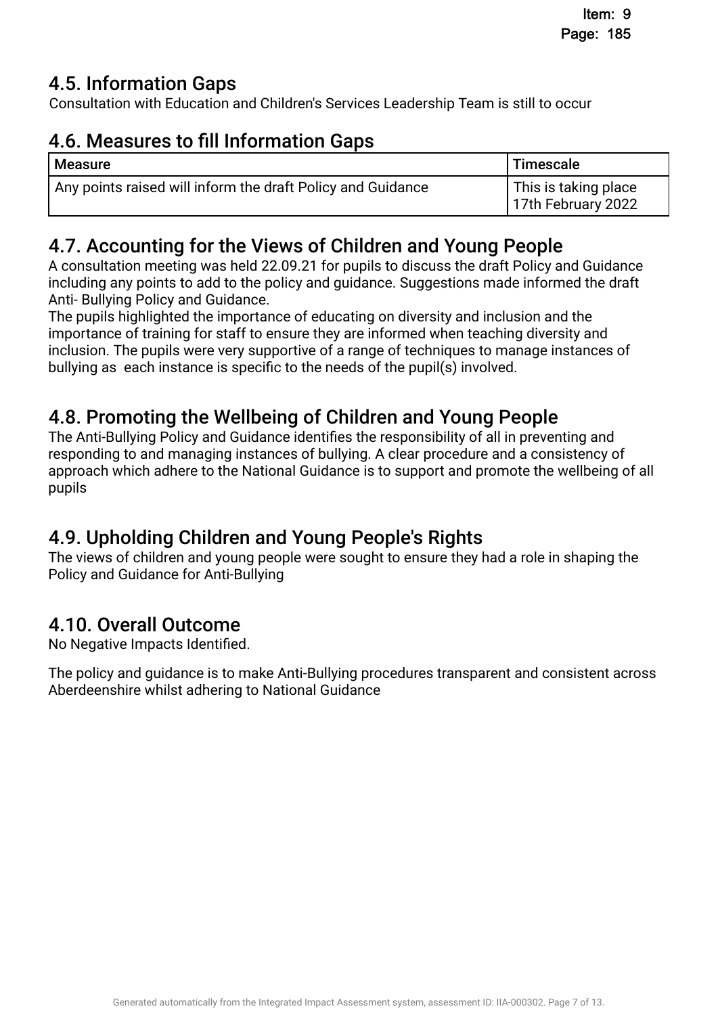## **4.5. Information Gaps.**

Consultation with Education and Children's Services Leadership Team is still to occur

## 4.6. Measures to fill Information Gaps.

| <b>Measure</b>                                              | Timescale                                  |
|-------------------------------------------------------------|--------------------------------------------|
| Any points raised will inform the draft Policy and Guidance | This is taking place<br>17th February 2022 |

## 4.7. Accounting for the Views of Children and Young People.

A consultation meeting was held 22.09.21 for pupils to discuss the draft Policy and Guidance including any points to add to the policy and guidance. Suggestions made informed the draft Anti- Bullying Policy and Guidance.

The pupils highlighted the importance of educating on diversity and inclusion and the importance of training for staff to ensure they are informed when teaching diversity and inclusion. The pupils were very supportive of a range of techniques to manage instances of bullying as each instance is specific to the needs of the pupil(s) involved.

## 4.8. Promoting the Wellbeing of Children and Young People.

The Anti-Bullying Policy and Guidance identifes the responsibility of all in preventing and responding to and managing instances of bullying. A clear procedure and a consistency of approach which adhere to the National Guidance is to support and promote the wellbeing of all pupils

## 4.9. Upholding Children and Young People's Rights.

The views of children and young people were sought to ensure they had a role in shaping the Policy and Guidance for Anti-Bullying

## 4.10. Overall Outcome.

No Negative Impacts Identifed.

The policy and guidance is to make Anti-Bullying procedures transparent and consistent across Aberdeenshire whilst adhering to National Guidance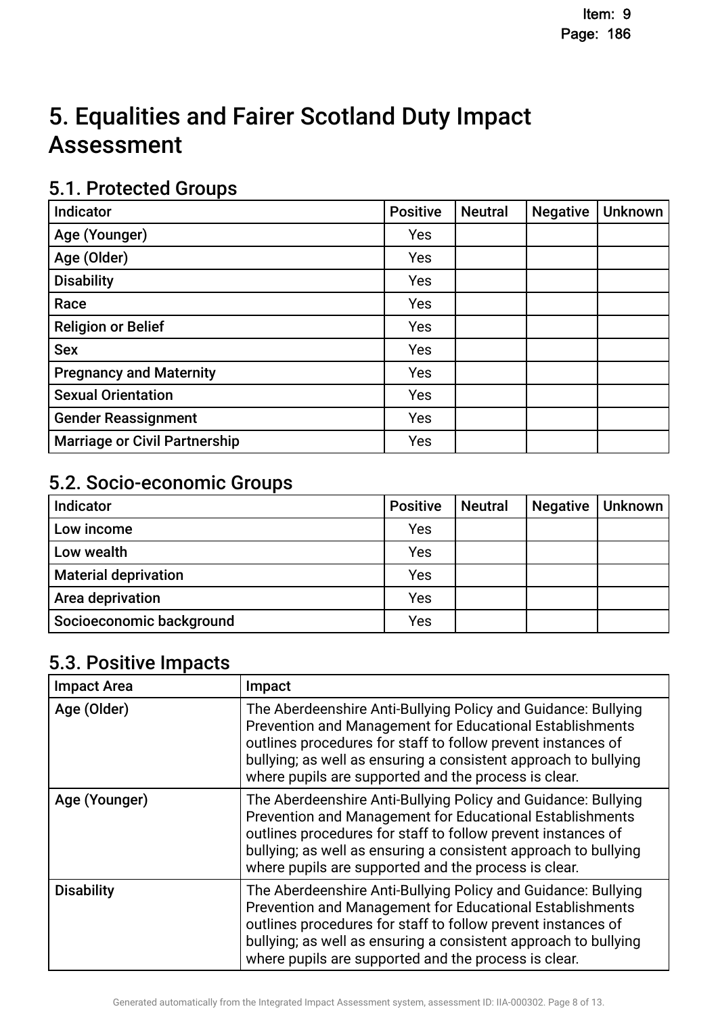## 5. Equalities and Fairer Scotland Duty Impact **Assessment**

### 5.1. Protected Groups

| <b>Indicator</b>                     | <b>Positive</b> | <b>Neutral</b> | <b>Negative</b> | <b>Unknown</b> |
|--------------------------------------|-----------------|----------------|-----------------|----------------|
| Age (Younger)                        | Yes             |                |                 |                |
| Age (Older)                          | Yes             |                |                 |                |
| <b>Disability</b>                    | Yes             |                |                 |                |
| Race                                 | Yes             |                |                 |                |
| <b>Religion or Belief</b>            | Yes             |                |                 |                |
| <b>Sex</b>                           | Yes             |                |                 |                |
| <b>Pregnancy and Maternity</b>       | Yes             |                |                 |                |
| <b>Sexual Orientation</b>            | Yes             |                |                 |                |
| <b>Gender Reassignment</b>           | Yes             |                |                 |                |
| <b>Marriage or Civil Partnership</b> | Yes             |                |                 |                |

### 5.2. Socio-economic Groups

| Indicator                   | <b>Positive</b> | <b>Neutral</b> | <b>Negative</b> | Unknown |
|-----------------------------|-----------------|----------------|-----------------|---------|
| Low income                  | Yes             |                |                 |         |
| Low wealth                  | Yes             |                |                 |         |
| <b>Material deprivation</b> | Yes             |                |                 |         |
| Area deprivation            | Yes             |                |                 |         |
| Socioeconomic background    | Yes             |                |                 |         |

## 5.3. Positive Impacts

| <b>Impact Area</b> | Impact                                                                                                                                                                                                                                                                                                               |
|--------------------|----------------------------------------------------------------------------------------------------------------------------------------------------------------------------------------------------------------------------------------------------------------------------------------------------------------------|
| Age (Older)        | The Aberdeenshire Anti-Bullying Policy and Guidance: Bullying<br>Prevention and Management for Educational Establishments<br>outlines procedures for staff to follow prevent instances of<br>bullying; as well as ensuring a consistent approach to bullying<br>where pupils are supported and the process is clear. |
| Age (Younger)      | The Aberdeenshire Anti-Bullying Policy and Guidance: Bullying<br>Prevention and Management for Educational Establishments<br>outlines procedures for staff to follow prevent instances of<br>bullying; as well as ensuring a consistent approach to bullying<br>where pupils are supported and the process is clear. |
| <b>Disability</b>  | The Aberdeenshire Anti-Bullying Policy and Guidance: Bullying<br>Prevention and Management for Educational Establishments<br>outlines procedures for staff to follow prevent instances of<br>bullying; as well as ensuring a consistent approach to bullying<br>where pupils are supported and the process is clear. |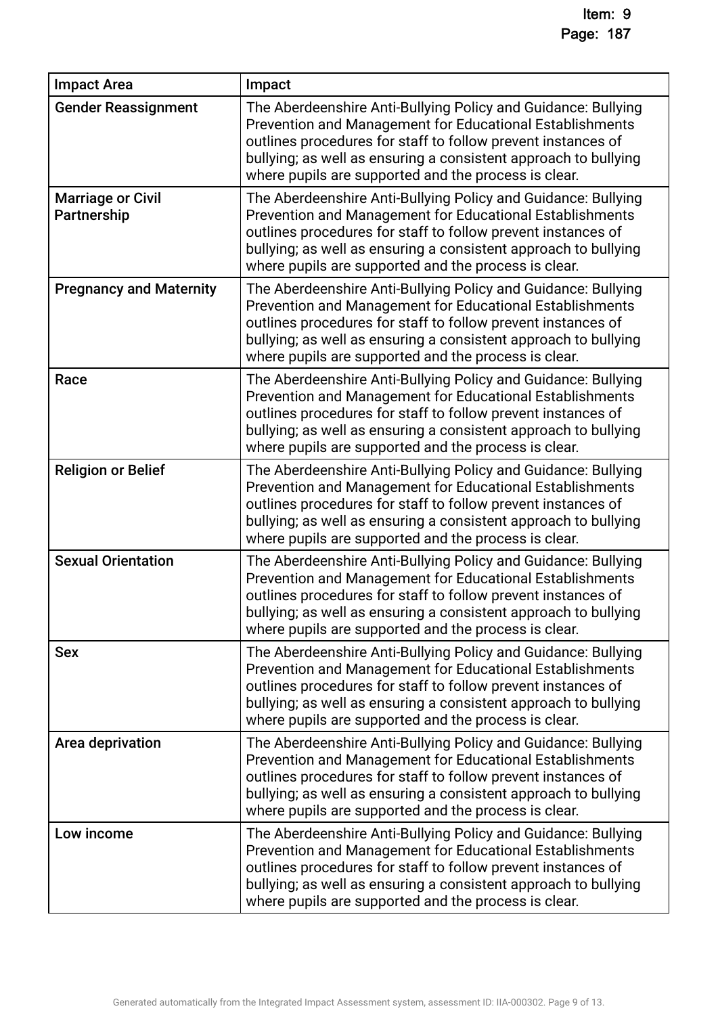| <b>Impact Area</b>                      | Impact                                                                                                                                                                                                                                                                                                               |
|-----------------------------------------|----------------------------------------------------------------------------------------------------------------------------------------------------------------------------------------------------------------------------------------------------------------------------------------------------------------------|
| <b>Gender Reassignment</b>              | The Aberdeenshire Anti-Bullying Policy and Guidance: Bullying<br>Prevention and Management for Educational Establishments<br>outlines procedures for staff to follow prevent instances of<br>bullying; as well as ensuring a consistent approach to bullying<br>where pupils are supported and the process is clear. |
| <b>Marriage or Civil</b><br>Partnership | The Aberdeenshire Anti-Bullying Policy and Guidance: Bullying<br>Prevention and Management for Educational Establishments<br>outlines procedures for staff to follow prevent instances of<br>bullying; as well as ensuring a consistent approach to bullying<br>where pupils are supported and the process is clear. |
| <b>Pregnancy and Maternity</b>          | The Aberdeenshire Anti-Bullying Policy and Guidance: Bullying<br>Prevention and Management for Educational Establishments<br>outlines procedures for staff to follow prevent instances of<br>bullying; as well as ensuring a consistent approach to bullying<br>where pupils are supported and the process is clear. |
| Race                                    | The Aberdeenshire Anti-Bullying Policy and Guidance: Bullying<br>Prevention and Management for Educational Establishments<br>outlines procedures for staff to follow prevent instances of<br>bullying; as well as ensuring a consistent approach to bullying<br>where pupils are supported and the process is clear. |
| <b>Religion or Belief</b>               | The Aberdeenshire Anti-Bullying Policy and Guidance: Bullying<br>Prevention and Management for Educational Establishments<br>outlines procedures for staff to follow prevent instances of<br>bullying; as well as ensuring a consistent approach to bullying<br>where pupils are supported and the process is clear. |
| <b>Sexual Orientation</b>               | The Aberdeenshire Anti-Bullying Policy and Guidance: Bullying<br>Prevention and Management for Educational Establishments<br>outlines procedures for staff to follow prevent instances of<br>bullying; as well as ensuring a consistent approach to bullying<br>where pupils are supported and the process is clear. |
| <b>Sex</b>                              | The Aberdeenshire Anti-Bullying Policy and Guidance: Bullying<br>Prevention and Management for Educational Establishments<br>outlines procedures for staff to follow prevent instances of<br>bullying; as well as ensuring a consistent approach to bullying<br>where pupils are supported and the process is clear. |
| Area deprivation                        | The Aberdeenshire Anti-Bullying Policy and Guidance: Bullying<br>Prevention and Management for Educational Establishments<br>outlines procedures for staff to follow prevent instances of<br>bullying; as well as ensuring a consistent approach to bullying<br>where pupils are supported and the process is clear. |
| Low income                              | The Aberdeenshire Anti-Bullying Policy and Guidance: Bullying<br>Prevention and Management for Educational Establishments<br>outlines procedures for staff to follow prevent instances of<br>bullying; as well as ensuring a consistent approach to bullying<br>where pupils are supported and the process is clear. |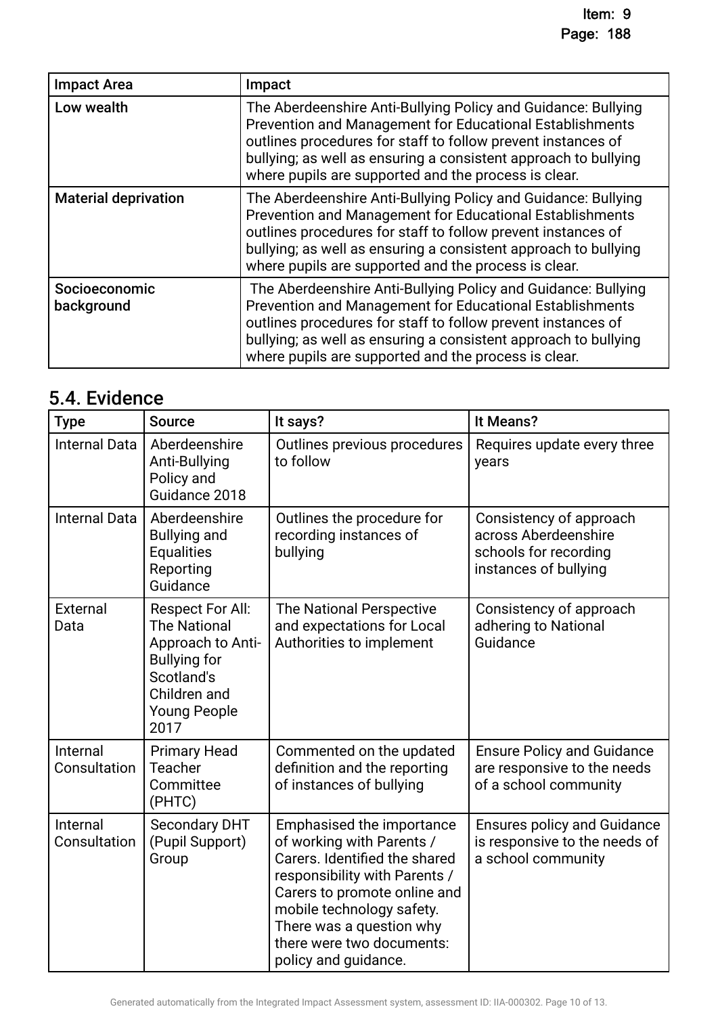| <b>Impact Area</b>          | Impact                                                                                                                                                                                                                                                                                                               |
|-----------------------------|----------------------------------------------------------------------------------------------------------------------------------------------------------------------------------------------------------------------------------------------------------------------------------------------------------------------|
| Low wealth                  | The Aberdeenshire Anti-Bullying Policy and Guidance: Bullying<br>Prevention and Management for Educational Establishments<br>outlines procedures for staff to follow prevent instances of<br>bullying; as well as ensuring a consistent approach to bullying<br>where pupils are supported and the process is clear. |
| <b>Material deprivation</b> | The Aberdeenshire Anti-Bullying Policy and Guidance: Bullying<br>Prevention and Management for Educational Establishments<br>outlines procedures for staff to follow prevent instances of<br>bullying; as well as ensuring a consistent approach to bullying<br>where pupils are supported and the process is clear. |
| Socioeconomic<br>background | The Aberdeenshire Anti-Bullying Policy and Guidance: Bullying<br>Prevention and Management for Educational Establishments<br>outlines procedures for staff to follow prevent instances of<br>bullying; as well as ensuring a consistent approach to bullying<br>where pupils are supported and the process is clear. |

## 5.4. Evidence

| <b>Type</b>              | <b>Source</b>                                                                                                                                           | It says?                                                                                                                                                                                                                                                               | It Means?                                                                                         |
|--------------------------|---------------------------------------------------------------------------------------------------------------------------------------------------------|------------------------------------------------------------------------------------------------------------------------------------------------------------------------------------------------------------------------------------------------------------------------|---------------------------------------------------------------------------------------------------|
| <b>Internal Data</b>     | Aberdeenshire<br>Anti-Bullying<br>Policy and<br>Guidance 2018                                                                                           | Outlines previous procedures<br>to follow                                                                                                                                                                                                                              | Requires update every three<br>years                                                              |
| <b>Internal Data</b>     | Aberdeenshire<br><b>Bullying and</b><br><b>Equalities</b><br>Reporting<br>Guidance                                                                      | Outlines the procedure for<br>recording instances of<br>bullying                                                                                                                                                                                                       | Consistency of approach<br>across Aberdeenshire<br>schools for recording<br>instances of bullying |
| External<br>Data         | <b>Respect For All:</b><br><b>The National</b><br>Approach to Anti-<br><b>Bullying for</b><br>Scotland's<br>Children and<br><b>Young People</b><br>2017 | The National Perspective<br>and expectations for Local<br>Authorities to implement                                                                                                                                                                                     | Consistency of approach<br>adhering to National<br>Guidance                                       |
| Internal<br>Consultation | <b>Primary Head</b><br><b>Teacher</b><br>Committee<br>(PHTC)                                                                                            | Commented on the updated<br>definition and the reporting<br>of instances of bullying                                                                                                                                                                                   | <b>Ensure Policy and Guidance</b><br>are responsive to the needs<br>of a school community         |
| Internal<br>Consultation | <b>Secondary DHT</b><br>(Pupil Support)<br>Group                                                                                                        | Emphasised the importance<br>of working with Parents /<br>Carers. Identified the shared<br>responsibility with Parents /<br>Carers to promote online and<br>mobile technology safety.<br>There was a question why<br>there were two documents:<br>policy and guidance. | <b>Ensures policy and Guidance</b><br>is responsive to the needs of<br>a school community         |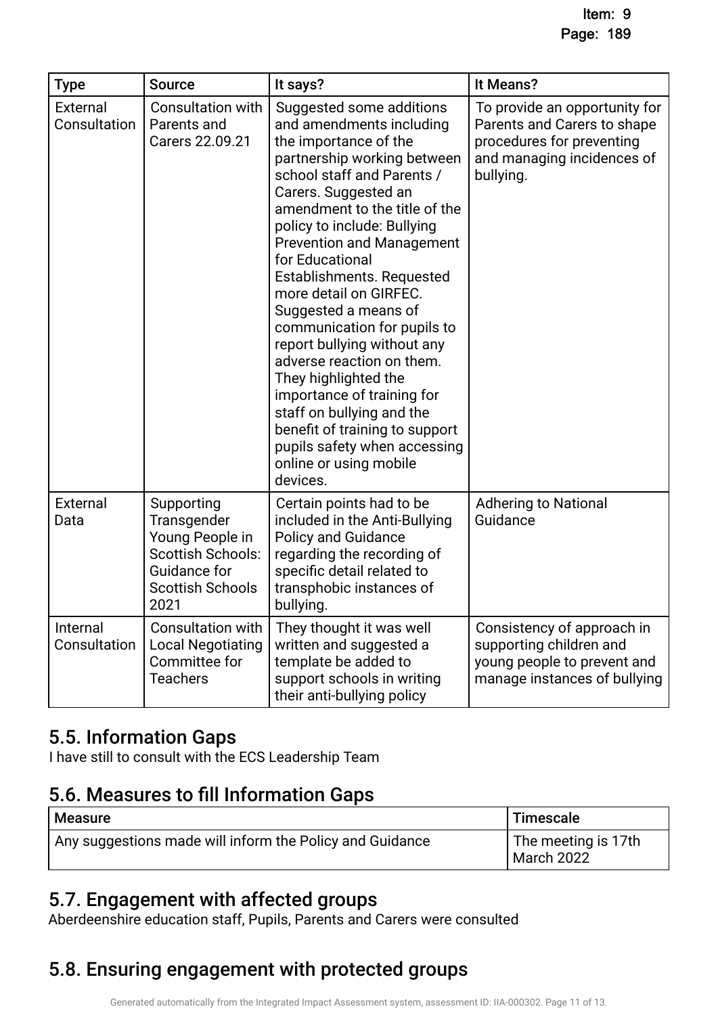| <b>Type</b>              | <b>Source</b>                                                                                                               | It says?                                                                                                                                                                                                                                                                                                                                                                                                                                                                                                                                                                                                                                                       | It Means?                                                                                                                            |
|--------------------------|-----------------------------------------------------------------------------------------------------------------------------|----------------------------------------------------------------------------------------------------------------------------------------------------------------------------------------------------------------------------------------------------------------------------------------------------------------------------------------------------------------------------------------------------------------------------------------------------------------------------------------------------------------------------------------------------------------------------------------------------------------------------------------------------------------|--------------------------------------------------------------------------------------------------------------------------------------|
| External<br>Consultation | <b>Consultation with</b><br>Parents and<br>Carers 22.09.21                                                                  | Suggested some additions<br>and amendments including<br>the importance of the<br>partnership working between<br>school staff and Parents /<br>Carers. Suggested an<br>amendment to the title of the<br>policy to include: Bullying<br><b>Prevention and Management</b><br>for Educational<br>Establishments. Requested<br>more detail on GIRFEC.<br>Suggested a means of<br>communication for pupils to<br>report bullying without any<br>adverse reaction on them.<br>They highlighted the<br>importance of training for<br>staff on bullying and the<br>benefit of training to support<br>pupils safety when accessing<br>online or using mobile<br>devices. | To provide an opportunity for<br>Parents and Carers to shape<br>procedures for preventing<br>and managing incidences of<br>bullying. |
| External<br>Data         | Supporting<br>Transgender<br>Young People in<br><b>Scottish Schools:</b><br>Guidance for<br><b>Scottish Schools</b><br>2021 | Certain points had to be<br>included in the Anti-Bullying<br><b>Policy and Guidance</b><br>regarding the recording of<br>specific detail related to<br>transphobic instances of<br>bullying.                                                                                                                                                                                                                                                                                                                                                                                                                                                                   | <b>Adhering to National</b><br>Guidance                                                                                              |
| Internal<br>Consultation | <b>Consultation with</b><br><b>Local Negotiating</b><br>Committee for<br><b>Teachers</b>                                    | They thought it was well<br>written and suggested a<br>template be added to<br>support schools in writing<br>their anti-bullying policy                                                                                                                                                                                                                                                                                                                                                                                                                                                                                                                        | Consistency of approach in<br>supporting children and<br>young people to prevent and<br>manage instances of bullying                 |

### 5.5. Information Gaps

I have still to consult with the ECS Leadership Team

### 5.6. Measures to fill Information Gaps

| Measure                                                  | ' Timescale                       |
|----------------------------------------------------------|-----------------------------------|
| Any suggestions made will inform the Policy and Guidance | The meeting is 17th<br>March 2022 |

### 5.7. Engagement with affected groups.

Aberdeenshire education staff, Pupils, Parents and Carers were consulted

## 5.8. Ensuring engagement with protected groups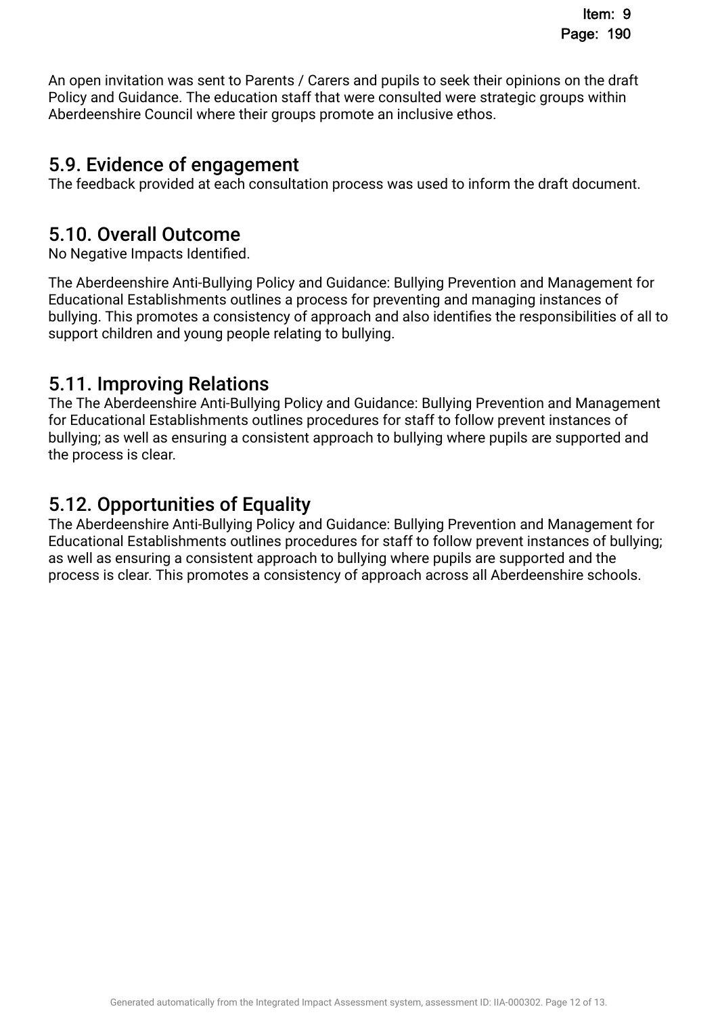An open invitation was sent to Parents / Carers and pupils to seek their opinions on the draft Policy and Guidance. The education staff that were consulted were strategic groups within Aberdeenshire Council where their groups promote an inclusive ethos.

### 5.9. Evidence of engagement.

The feedback provided at each consultation process was used to inform the draft document.

### 5.10. Overall Outcome.

No Negative Impacts Identifed.

The Aberdeenshire Anti-Bullying Policy and Guidance: Bullying Prevention and Management for Educational Establishments outlines a process for preventing and managing instances of bullying. This promotes a consistency of approach and also identifes the responsibilities of all to support children and young people relating to bullying.

### 5.11. Improving Relations.

The The Aberdeenshire Anti-Bullying Policy and Guidance: Bullying Prevention and Management for Educational Establishments outlines procedures for staff to follow prevent instances of bullying; as well as ensuring a consistent approach to bullying where pupils are supported and the process is clear.

### 5.12. Opportunities of Equality.

The Aberdeenshire Anti-Bullying Policy and Guidance: Bullying Prevention and Management for Educational Establishments outlines procedures for staff to follow prevent instances of bullying; as well as ensuring a consistent approach to bullying where pupils are supported and the process is clear. This promotes a consistency of approach across all Aberdeenshire schools.